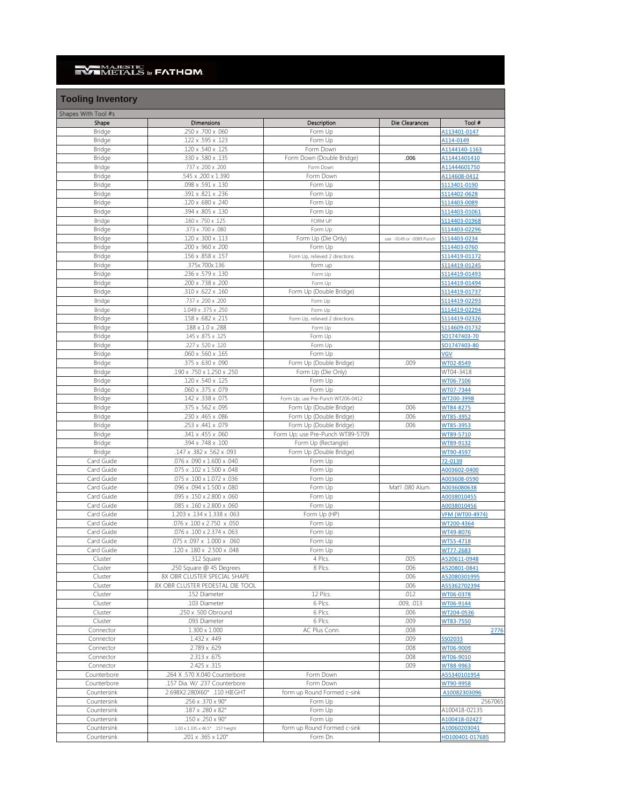## **NAJESTIC** by **FATHOM**

| <b>Tooling Inventory</b> |                            |                                   |                          |               |
|--------------------------|----------------------------|-----------------------------------|--------------------------|---------------|
| Shapes With Tool #s      |                            |                                   |                          |               |
| Shape                    | <b>Dimensions</b>          | Description                       | Die Clearances           | Tool #        |
| <b>Bridge</b>            | .250 x .700 x .060         | Form Up                           |                          | A113401-0147  |
| <b>Bridge</b>            | .122 x .595 x .123         | Form Up                           |                          | A114-0149     |
| <b>Bridge</b>            | .120 x .540 x .125         | Form Down                         |                          | A1144140-1163 |
| <b>Bridge</b>            | .330 x .580 x .135         | Form Down (Double Bridge)         | .006                     | A11441401410  |
| <b>Bridge</b>            | .737 x .200 x .200         | Form Down                         |                          | A11444601750  |
| <b>Bridge</b>            | 545 x .200 x 1.390         | Form Down                         |                          | A114608-0412  |
| <b>Bridge</b>            | .098 x .591 x .130         | Form Up                           |                          | S113401-0190  |
| <b>Bridge</b>            | .391 x .821 x .236         | Form Up                           |                          | S114402-0628  |
| <b>Bridge</b>            | .120 x .680 x .240         | Form Up                           |                          | S114403-0089  |
| <b>Bridge</b>            | .394 x .805 x .130         | Form Up                           |                          | S114403-01061 |
| <b>Bridge</b>            | .160 x .750 x .125         | <b>FORM UP</b>                    |                          | S114403-01968 |
| <b>Bridge</b>            | .373 x .700 x .080         | Form Up                           |                          | S114403-02296 |
| <b>Bridge</b>            | .120 x .300 x .113         | Form Up (Die Only)                | use -0149 or -0089 Punch | S114403-0234  |
| <b>Bridge</b>            | .200 x .960 x .200         | Form Up                           |                          | S114403-0760  |
| <b>Bridge</b>            | .156 x .858 x .157         | Form Up, relieved 2 directions    |                          | S114419-01172 |
| <b>Bridge</b>            | .375x.700x.136             | form up                           |                          | S114419-01245 |
| <b>Bridge</b>            | .236 x .579 x .130         | Form Up                           |                          | S114419-01493 |
| <b>Bridge</b>            | .200 x .738 x .200         | Form Up                           |                          | S114419-01494 |
| <b>Bridge</b>            | .310 x .622 x .160         | Form Up (Double Bridge)           |                          | S114419-01737 |
| <b>Bridge</b>            | .737 x .200 x .200         | Form Up                           |                          | S114419-02293 |
| <b>Bridge</b>            | 1.049 x .375 x .250        | Form Up                           |                          | S114419-02294 |
| <b>Bridge</b>            | .158 x .682 x .215         | Form Up, relieved 2 directions    |                          | S114419-02326 |
| <b>Bridge</b>            | .188 x 1.0 x .288          | Form Up                           |                          | S114609-01732 |
| <b>Bridge</b>            | .145 x .875 x .125         | Form Up                           |                          | SO1747403-70  |
| <b>Bridge</b>            | .227 x .520 x .120         | Form Up                           |                          | SO1747403-80  |
| <b>Bridge</b>            | .060 x .560 x .165         | Form Up                           |                          | <b>VGV</b>    |
| <b>Bridge</b>            | .375 x .630 x .090         | Form Up (Double Bridge)           | .009                     | WT02-8549     |
| <b>Bridge</b>            | .190 x .750 x 1.250 x .250 | Form Up (Die Only)                |                          | WT04-3418     |
| <b>Bridge</b>            | .120 x .540 x .125         | Form Up                           |                          | WT06-7106     |
| <b>Bridge</b>            | .060 x .375 x .079         | Form Up                           |                          | WT07-7344     |
| <b>Bridge</b>            | .142 x .338 x .075         | Form Up; use Pre-Punch WT206-0412 |                          | WT200-3998    |
| <b>Bridge</b>            | .375 x .562 x .095         | Form Up (Double Bridge)           | .006                     | WT84-8275     |
| <b>Bridge</b>            | .230 x .465 x .086         | Form Up (Double Bridge)           | .006                     | WT85-3952     |
| <b>Bridge</b>            | .253 x .441 x .079         | Form Up (Double Bridge)           | .006                     | WT85-3953     |
| <b>Bridge</b>            | .341 x .455 x .060         | Form Up; use Pre-Punch WT89-5709  |                          | WT89-5710     |
| <b>Bridge</b>            | .394 x .748 x .100         | Form Up (Rectangle)               |                          | WT89-9132     |
| <b>Bridge</b>            | .147 x .382 x .562 x .093  | Form Up (Double Bridge)           |                          | WT90-4597     |
| Card Guide               | .076 x .090 x 1.600 x .040 | Form Up                           |                          | 72-0139       |
| Card Guide               | .075 x .102 x 1.500 x .048 | Form Up                           |                          | A003602-0400  |
| Card Guide               | .075 x .100 x 1.072 x .036 | Form Up                           |                          | A003608-0590  |
| Card Guide               | .080 x .094 x 1.500 x .080 | Form Up                           | Mat'l .080 Alum.         | A0036080638   |
| Card Guide               | .095 x .150 x 2.800 x .060 | Form Up                           |                          | A0038010455   |

| Card Guide  | 1.203 x .134 x 1.338 x .063          | Form Up (HP)                |            | <b>VFM (WT00-4974)</b> |
|-------------|--------------------------------------|-----------------------------|------------|------------------------|
| Card Guide  | .050 x .076 x .100 x 2.750 x .050    | Form Up                     |            | WT200-4364             |
| Card Guide  | .076 x .100 x 2.374 x .063           | Form Up                     |            | WT49-8076              |
| Card Guide  | .075 x .097 x 1.000 x .060           | Form Up                     |            | WT55-4718              |
| Card Guide  | .120 x .180 x 2.500 x .048           | Form Up                     |            | WT77-2683              |
| Cluster     | .312 Square                          | 4 Plcs.                     | .005       | A520611-0948           |
| Cluster     | .250 Square @ 45 Degrees             | 8 Plcs.                     | .006       | A520801-0841           |
| Cluster     | 8X OBR CLUSTER SPECIAL SHAPE         |                             | .006       | A52080301995           |
| Cluster     | 8X OBR CLUSTER PEDESTAL DIE TOOL     |                             | .006       | A55362702394           |
| Cluster     | .152 Diameter                        | 12 Plcs.                    | .012       | WT06-0378              |
| Cluster     | .103 Diameter                        | 6 Plcs.                     | .009, .013 | WT06-9144              |
| Cluster     | .250 x .500 Obround                  | 6 Plcs.                     | .006       | WT204-0536             |
| Cluster     | .093 Diameter                        | 6 Plcs.                     | .009       | WT83-7550              |
| Connector   | $1.300 \times 1.000$                 | AC Plus Conn.               | .008       | 2776                   |
| Connector   | 1.432 x .449                         |                             | .009       | SS02033                |
| Connector   | 2.789 x .629                         |                             | .008       | WT06-9009              |
| Connector   | $2.313 \times .675$                  |                             | .008       | WT06-9010              |
| Connector   | 2.425 x .315                         |                             | .009       | WT88-9963              |
| Counterbore | 264 X .570 X.040 Counterbore         | Form Down                   |            | A55340101954           |
| Counterbore | .157 Dia. W/ .237 Counterbore        | Form Down                   |            | WT90-9958              |
| Countersink | 2.698X2.280X60° .110 HIEGHT          | form up Round Formed c-sink |            | A10082303096           |
| Countersink | .256 x .370 x 90°                    | Form Up                     |            | 2567065                |
| Countersink | $.187 \times .280 \times 82^{\circ}$ | Form Up                     |            | A100418-02135          |
| Countersink | $.150 \times .250 \times 90^{\circ}$ | Form Up                     |            | A100418-02427          |
| Countersink | 1.00 x 1.335 x 46.5° .157 height     | form up Round Formed c-sink |            | A10060203041           |
| Countersink | .201 x .365 x 120°                   | Form Dn                     |            | HD100401-017685        |
|             |                                      |                             |            |                        |

Card Guide ... . .085 x .160 x 2.800 x .060 Form Up Form Up [A0038010456](https://fathommfg.com/wp-content/uploads/Tool_Drawings/Card Guide (A0038010456).pdf)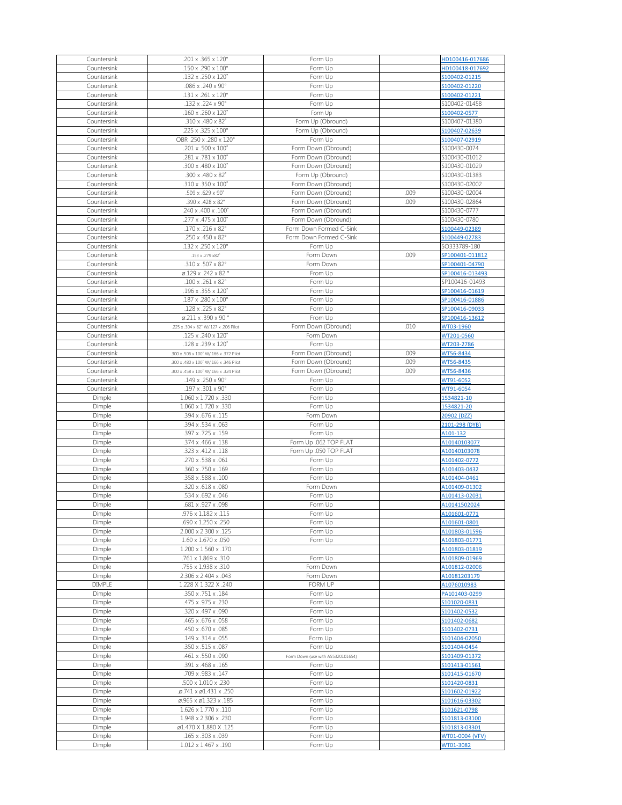| Countersink      | .201 x .365 x 120°                                     | Form Up                           |      | HD100416-017686              |
|------------------|--------------------------------------------------------|-----------------------------------|------|------------------------------|
|                  |                                                        |                                   |      |                              |
| Countersink      | .150 x .290 x 100°                                     | Form Up                           |      | HD100418-017692              |
| Countersink      | .132 x .250 x 120°                                     | Form Up                           |      | S100402-01215                |
| Countersink      | .086 x .240 x 90°                                      | Form Up                           |      | S100402-01220                |
| Countersink      | .131 x .261 x 120°                                     | Form Up                           |      | S100402-01221                |
|                  | .132 x .224 x 90°                                      |                                   |      | S100402-01458                |
| Countersink      |                                                        | Form Up                           |      |                              |
| Countersink      | .160 x .260 x 120°                                     | Form Up                           |      | S100402-0577                 |
| Countersink      | .310 x .480 x 82°                                      | Form Up (Obround)                 |      | S100407-01380                |
| Countersink      | .225 x .325 x 100°                                     | Form Up (Obround)                 |      | S100407-02639                |
| Countersink      | OBR .250 x .280 x 120°                                 | Form Up                           |      | S100407-02919                |
|                  |                                                        |                                   |      |                              |
| Countersink      | .201 x .500 x 100°                                     | Form Down (Obround)               |      | S100430-0074                 |
| Countersink      | .281 x .781 x 100°                                     | Form Down (Obround)               |      | S100430-01012                |
| Countersink      | .300 x .480 x 100°                                     | Form Down (Obround)               |      | S100430-01029                |
| Countersink      | .300 x .480 x 82°                                      | Form Up (Obround)                 |      | S100430-01383                |
| Countersink      | .310 x .350 x 100°                                     | Form Down (Obround)               |      | S100430-02002                |
|                  |                                                        |                                   |      |                              |
| Countersink      | .509 x .629 x 90°                                      | Form Down (Obround)               | .009 | S100430-02004                |
| Countersink      | .390 x .428 x 82°                                      | Form Down (Obround)               | .009 | S100430-02864                |
| Countersink      | .240 x .400 x .100°                                    | Form Down (Obround)               |      | S100430-0777                 |
| Countersink      | .277 x .475 x 100°                                     | Form Down (Obround)               |      | S100430-0780                 |
| Countersink      | .170 x .216 x 82°                                      | Form Down Formed C-Sink           |      | S100449-02389                |
|                  |                                                        |                                   |      |                              |
| Countersink      | .250 x .450 x 82°                                      | Form Down Formed C-Sink           |      | S100449-02783                |
| Countersink      | .132 x .250 x 120°                                     | Form Up                           |      | SO333789-180                 |
| Countersink      | .153 x .279 x82°                                       | Form Down                         | .009 | SP100401-011812              |
| Countersink      | .310 x .507 x 82°                                      | Form Down                         |      | SP100401-04790               |
| Countersink      | $\varnothing$ .129 x .242 x 82 $^{\circ}$              | From Up                           |      | SP100416-013493              |
|                  |                                                        |                                   |      |                              |
| Countersink      | .100 x .261 x 82°                                      | Form Up                           |      | SP100416-01493               |
| Countersink      | .196 x .355 x 120°                                     | Form Up                           |      | SP100416-01619               |
| Countersink      | .187 x .280 x 100°                                     | Form Up                           |      | SP100416-01886               |
| Countersink      | .128 x .225 x 82°                                      | Form Up                           |      | SP100416-09033               |
|                  |                                                        |                                   |      |                              |
| Countersink      | $\varphi$ .211 x .390 x 90 $^{\circ}$                  | From Up                           |      | SP100416-13612               |
| Countersink      | .225 x .304 x 82° W/.127 x .206 Pilot                  | Form Down (Obround)               | .010 | WT03-1960                    |
| Countersink      | .125 x .240 x 120°                                     | Form Down                         |      | WT201-0560                   |
| Countersink      | .128 x .239 x 120°                                     | Form Up                           |      | WT203-2786                   |
| Countersink      | .300 x .506 x 100° W/.166 x .372 Pilot                 | Form Down (Obround)               | .009 | WT56-8434                    |
|                  |                                                        |                                   |      |                              |
| Countersink      | .300 x .480 x 100° W/.166 x .346 Pilot                 | Form Down (Obround)               | .009 | WT56-8435                    |
| Countersink      | .300 x .458 x 100° W/.166 x .324 Pilot                 | Form Down (Obround)               | .009 | WT56-8436                    |
| Countersink      | $.149 \times .250 \times 90^{\circ}$                   | Form Up                           |      | WT91-6052                    |
| Countersink      | $.197 \times .301 \times 90^{\circ}$                   | Form Up                           |      | WT91-6054                    |
| Dimple           | 1.060 x 1.720 x .330                                   | Form Up                           |      | 1534821-10                   |
|                  |                                                        |                                   |      |                              |
| Dimple           | 1.060 x 1.720 x .330                                   | Form Up                           |      | 1534821-20                   |
| Dimple           | .394 x .676 x .115                                     | Form Down                         |      | 20902 (DZZ)                  |
| Dimple           | .394 x .534 x .063                                     | Form Up                           |      | 2101-298 (DYB)               |
| Dimple           | .397 x .725 x .159                                     | Form Up                           |      | A101-132                     |
| Dimple           | .374 x .466 x .138                                     | Form Up .062 TOP FLAT             |      | A10140103077                 |
|                  |                                                        |                                   |      |                              |
| Dimple           | .323 x .412 x .118                                     | Form Up .050 TOP FLAT             |      | A10140103078                 |
| Dimple           | .270 x .538 x .061                                     | Form Up                           |      | A101402-0772                 |
| Dimple           | .360 x .750 x .169                                     | Form Up                           |      | A101403-0432                 |
| Dimple           | .358 x .588 x .100                                     | Form Up                           |      | A101404-0461                 |
| Dimple           | .320 x .618 x .080                                     | Form Down                         |      | A101409-01302                |
|                  |                                                        |                                   |      |                              |
| Dimple           | .534 x .692 x .046                                     | Form Up                           |      | A101413-02031                |
| Dimple           | .681 x .927 x .098                                     | Form Up                           |      | A10141502024                 |
| Dimple           | .976 x 1.182 x .115                                    | Form Up                           |      | A101601-0771                 |
| Dimple           | .690 x 1.250 x .250                                    | Form Up                           |      | A101601-0801                 |
| Dimple           | 2.000 x 2.300 x .125                                   | Form Up                           |      | A101803-01596                |
| Dimple           | $1.60 \times 1.670 \times .050$                        | Form Up                           |      | A101803-01771                |
|                  |                                                        |                                   |      |                              |
| Dimple           | $1.200 \times 1.560 \times .170$                       |                                   |      | A101803-01819                |
| Dimple           | .761 x 1.869 x .310                                    | Form Up                           |      | A101809-01969                |
| Dimple           | .755 x 1.938 x .310                                    | Form Down                         |      | A101812-02006                |
| Dimple           | 2.306 x 2.404 x .043                                   | Form Down                         |      | A10181203179                 |
| <b>DIMPLE</b>    | 1.228 X 1.322 X .240                                   | <b>FORM UP</b>                    |      | A1076010983                  |
|                  |                                                        |                                   |      |                              |
| Dimple           | .350 x .751 x .184                                     | Form Up                           |      | PA101403-0299                |
| Dimple           | .475 x .975 x .230                                     | Form Up                           |      | S101020-0831                 |
| Dimple           | .320 x .497 x .090                                     | Form Up                           |      | S101402-0532                 |
| Dimple           | .465 x .676 x .058                                     | Form Up                           |      | S101402-0682                 |
| Dimple           | .450 x .670 x .085                                     | Form Up                           |      | S101402-0731                 |
|                  |                                                        |                                   |      |                              |
| Dimple           | .149 x .314 x .055                                     | Form Up                           |      | S101404-02050                |
| Dimple           | .350 x .515 x .087                                     | Form Up                           |      | S101404-0454                 |
| Dimple           | .461 x .550 x .090                                     | Form Down (use with A55320101654) |      | S101409-01372                |
| Dimple           | .391 x .468 x .165                                     | Form Up                           |      | S101413-01561                |
| Dimple           | .709 x .983 x .147                                     | Form Up                           |      | S101415-01670                |
|                  |                                                        |                                   |      |                              |
| Dimple           | 500 x 1.010 x .230                                     | Form Up                           |      | S101420-0831                 |
| Dimple           | .ø.741 x ø1.431 x .250                                 | Form Up                           |      | S101602-01922                |
| Dimple           | $\varnothing$ .965 x $\varnothing$ 1.323 x .185        | Form Up                           |      | S101616-03302                |
| Dimple           | $1.626 \times 1.770 \times 110$                        | Form Up                           |      | S101621-0798                 |
| Dimple           | 1.948 x 2.306 x .230                                   | Form Up                           |      | S101813-03100                |
| Dimple           |                                                        |                                   |      |                              |
|                  |                                                        |                                   |      |                              |
|                  | ø1.470 X 1.880 X .125                                  | Form Up                           |      | S101813-03301                |
| Dimple<br>Dimple | .165 x .303 x .039<br>$1.012 \times 1.467 \times .190$ | Form Up<br>Form Up                |      | WT01-0004 (VFV)<br>WT01-3082 |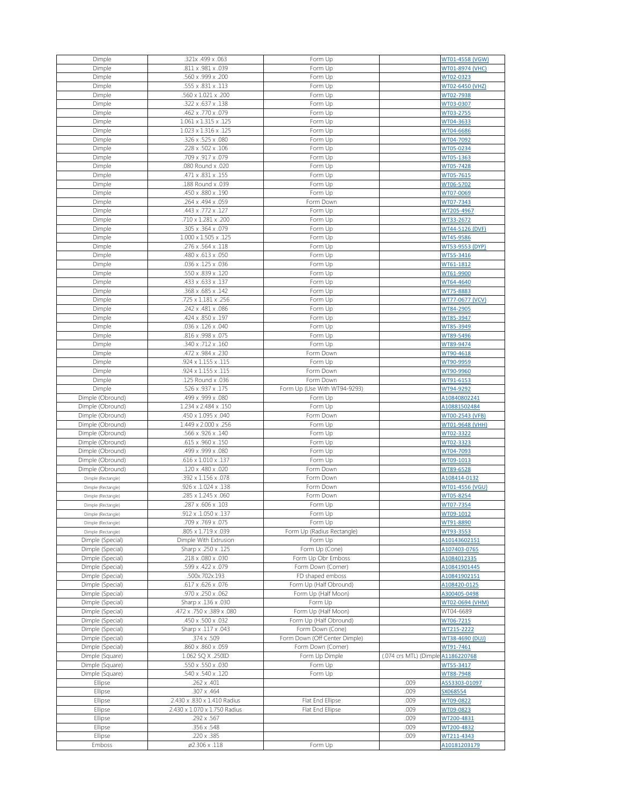| Dimple             | .321x .499 x .063                | Form Up                       |                                    | WT01-4558 (VGW) |
|--------------------|----------------------------------|-------------------------------|------------------------------------|-----------------|
| Dimple             | .811 x .981 x .039               | Form Up                       |                                    | WT01-8974 (VHC) |
| Dimple             | .560 x .999 x .200               | Form Up                       |                                    | WT02-0323       |
| Dimple             | .555 x .831 x .113               | Form Up                       |                                    | WT02-6450 (VHZ) |
| Dimple             | .560 x 1.021 x .200              | Form Up                       |                                    | WT02-7938       |
| Dimple             | .322 x .637 x .138               | Form Up                       |                                    | WT03-0307       |
|                    |                                  |                               |                                    |                 |
| Dimple             | .462 x .770 x .079               | Form Up                       |                                    | WT03-2755       |
| Dimple             | $1.061 \times 1.315 \times .125$ | Form Up                       |                                    | WT04-3633       |
| Dimple             | 1.023 x 1.316 x .125             | Form Up                       |                                    | WT04-6686       |
| Dimple             | .326 x .525 x .080               | Form Up                       |                                    | WT04-7092       |
| Dimple             | .228 x .502 x .106               | Form Up                       |                                    | WT05-0234       |
| Dimple             | .709 x .917 x .079               | Form Up                       |                                    | WT05-1363       |
|                    |                                  |                               |                                    |                 |
| Dimple             | .080 Round x .020                | Form Up                       |                                    | WT05-7428       |
| Dimple             | .471 x .831 x .155               | Form Up                       |                                    | WT05-7615       |
| Dimple             | .188 Round x .039                | Form Up                       |                                    | WT06-5702       |
| Dimple             | .450 x .880 x .190               | Form Up                       |                                    | WT07-0069       |
| Dimple             | .264 x .494 x .059               | Form Down                     |                                    | WT07-7343       |
| Dimple             | .443 x .772 x .127               | Form Up                       |                                    | WT205-4967      |
| Dimple             | .710 x 1.281 x .200              | Form Up                       |                                    | WT33-2672       |
|                    |                                  |                               |                                    |                 |
| Dimple             | .305 x .364 x .079               | Form Up                       |                                    | WT44-5126 (DVF) |
| Dimple             | $1.000 \times 1.505 \times .125$ | Form Up                       |                                    | WT45-9586       |
| Dimple             | .276 x .564 x .118               | Form Up                       |                                    | WT53-9553 (DYP) |
| Dimple             | .480 x .613 x .050               | Form Up                       |                                    | WT55-3416       |
| Dimple             | .036 x .125 x .036               | Form Up                       |                                    | WT61-1812       |
|                    | .550 x .839 x .120               | Form Up                       |                                    | WT61-9900       |
| Dimple             |                                  |                               |                                    |                 |
| Dimple             | .433 x .633 x .137               | Form Up                       |                                    | WT64-4640       |
| Dimple             | .368 x .685 x .142               | Form Up                       |                                    | WT75-8883       |
| Dimple             | .725 x 1.181 x .256              | Form Up                       |                                    | WT77-0677 (VCV) |
| Dimple             | .242 x .481 x .086               | Form Up                       |                                    | WT84-2905       |
| Dimple             | .424 x .850 x .197               | Form Up                       |                                    | WT85-3947       |
| Dimple             | .036 x .126 x .040               | Form Up                       |                                    | WT85-3949       |
|                    | .816 x .998 x .075               |                               |                                    |                 |
| Dimple             |                                  | Form Up                       |                                    | WT89-5496       |
| Dimple             | .340 x .712 x .160               | Form Up                       |                                    | WT89-9474       |
| Dimple             | .472 x .984 x .230               | Form Down                     |                                    | WT90-4618       |
| Dimple             | .924 x 1.155 x .115              | Form Up                       |                                    | WT90-9959       |
| Dimple             | .924 x 1.155 x .115              | Form Down                     |                                    | WT90-9960       |
| Dimple             | .125 Round x .036                | Form Down                     |                                    | WT91-6153       |
|                    | .526 x .937 x .175               | Form Up (Use With WT94-9293)  |                                    | WT94-9292       |
| Dimple             |                                  |                               |                                    |                 |
| Dimple (Obround)   | .499 x .999 x .080               | Form Up                       |                                    | A10840802241    |
| Dimple (Obround)   | 1.234 x 2.484 x .150             | Form Up                       |                                    | A10881502484    |
| Dimple (Obround)   | .450 x 1.095 x .040              | Form Down                     |                                    | WT00-2543 (VFB) |
| Dimple (Obround)   | 1.449 x 2.000 x .256             | Form Up                       |                                    | WT01-9648 (VHH) |
| Dimple (Obround)   | .566 x .926 x .140               | Form Up                       |                                    | WT02-3322       |
| Dimple (Obround)   | .615 x .960 x .150               | Form Up                       |                                    |                 |
|                    |                                  |                               |                                    | WT02-3323       |
| Dimple (Obround)   | .499 x .999 x .080               | Form Up                       |                                    | WT04-7093       |
| Dimple (Obround)   | $.616 \times 1.010 \times .137$  | Form Up                       |                                    | WT09-1013       |
| Dimple (Obround)   | .120 x .480 x .020               | Form Down                     |                                    | WT89-6528       |
| Dimple (Rectangle) | .392 x 1.156 x .078              | Form Down                     |                                    | A108414-0132    |
| Dimple (Rectangle) | .926 x .1.024 x .138             | Form Down                     |                                    | WT01-4556 (VGU) |
|                    |                                  |                               |                                    |                 |
| Dimple (Rectangle) | .285 x 1.245 x .060              | Form Down                     |                                    | WT05-8254       |
| Dimple (Rectangle) | .287 x .606 x .103               | Form Up                       |                                    | WT07-7354       |
| Dimple (Rectangle) | .912 x .1.050 x .137             | Form Up                       |                                    | WT09-1012       |
| Dimple (Rectangle) | .709 x .769 x .075               | Form Up                       |                                    | WT91-8890       |
| Dimple (Rectangle) | .805 x 1.719 x .039              | Form Up (Radius Rectangle)    |                                    | WT93-3553       |
| Dimple (Special)   | Dimple With Extrusion            | Form Up                       |                                    | A10143602151    |
|                    |                                  |                               |                                    |                 |
| Dimple (Special)   | Sharp x .250 x .125              | Form Up (Cone)                |                                    | A107403-0765    |
|                    |                                  |                               |                                    | A1084012335     |
| Dimple (Special)   | .218 x .080 x .030               | Form Up Obr Emboss            |                                    |                 |
| Dimple (Special)   | .599 x .422 x .079               | Form Down (Corner)            |                                    | A10841901445    |
| Dimple (Special)   | 500x.702x.193                    | FD shaped emboss              |                                    | A10841902151    |
| Dimple (Special)   | .617 x .626 x .076               | Form Up (Half Obround)        |                                    | A108420-0125    |
|                    |                                  |                               |                                    |                 |
| Dimple (Special)   | .970 x .250 x .062               | Form Up (Half Moon)           |                                    | A300405-0498    |
| Dimple (Special)   | Sharp x .136 x .030              | Form Up                       |                                    | WT02-0694 (VHM) |
| Dimple (Special)   | .472 x .750 x .389 x .080        | Form Up (Half Moon)           |                                    | WT04-6689       |
| Dimple (Special)   | .450 x .500 x .032               | Form Up (Half Obround)        |                                    | WT06-7215       |
| Dimple (Special)   | Sharp x .117 x .043              | Form Down (Cone)              |                                    | WT215-2222      |
|                    | .374 x .509                      | Form Down (Off Center Dimple) |                                    | WT38-4690 (DUJ) |
| Dimple (Special)   |                                  |                               |                                    |                 |
| Dimple (Special)   | .860 x .860 x .059               | Form Down (Corner)            |                                    | WT91-7461       |
| Dimple (Square)    | 1.062 SQ X .250ID                | Form Up Dimple                | (.074 crs MTL) (Dimple A1186220768 |                 |
| Dimple (Square)    | .550 x .550 x .030               | Form Up                       |                                    | WT55-3417       |
| Dimple (Square)    | .540 x .540 x .120               | Form Up                       |                                    | WT88-7948       |
| Ellipse            | .262 x .401                      |                               | .009                               | A553303-01097   |
|                    |                                  |                               |                                    |                 |
| Ellipse            | .307 x .464                      |                               | .009                               | SX068554        |
| Ellipse            | 2.430 x .830 x 1.410 Radius      | Flat End Ellipse              | .009                               | WT09-0822       |
| Ellipse            | 2.430 x 1.070 x 1.750 Radius     | Flat End Ellipse              | .009                               | WT09-0823       |
| Ellipse            | .292 x .567                      |                               | .009                               | WT200-4831      |
| Ellipse            | .356 x .548                      |                               | .009                               | WT200-4832      |
| Ellipse            | .220 x .385                      |                               | .009                               | WT211-4343      |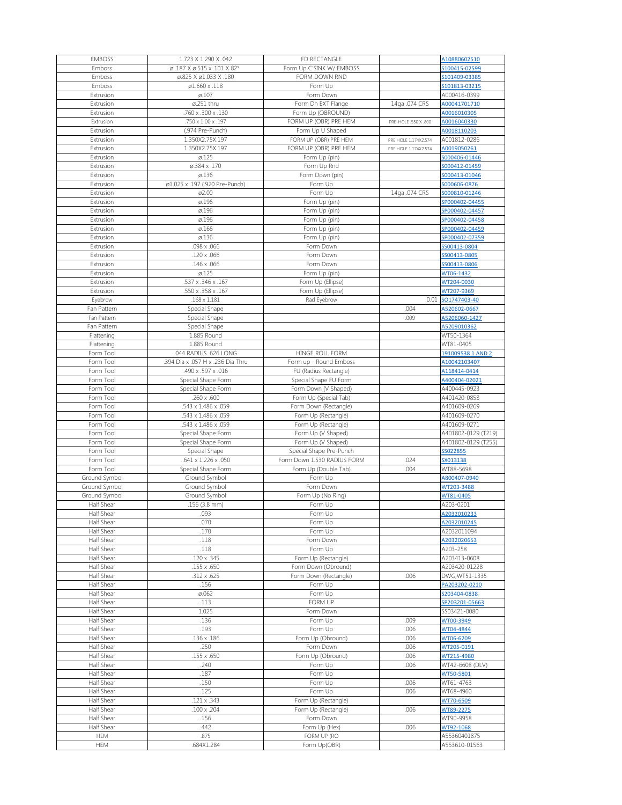| <b>EMBOSS</b> | 1.723 X 1.290 X .042                         | FD RECTANGLE                |                      | A10880602510        |
|---------------|----------------------------------------------|-----------------------------|----------------------|---------------------|
| Emboss        | $\varphi$ .187 X $\varphi$ .515 x .101 X 82° | Form Up C'SINK W/ EMBOSS    |                      | S100415-02599       |
| Emboss        | Ø.825 X ø1.033 X .180                        | FORM DOWN RND               |                      | S101409-03385       |
| Emboss        | ø1.660 x .118                                | Form Up                     |                      | S101813-03215       |
| Extrusion     | $\varnothing.107$                            | Form Down                   |                      | A000416-0399        |
| Extrusion     | $\varnothing$ .251 thru                      | Form Dn EXT Flange          | 14ga .074 CRS        | A00041701710        |
| Extrusion     | .760 x .300 x .130                           | Form Up (OBROUND)           |                      | A0016010305         |
| Extrusion     | .750 x 1.00 x .197                           | FORM UP (OBR) PRE HEM       | PRE-HOLE .550 X .800 | A0016040330         |
| Extrusion     | (.974 Pre-Punch)                             | Form Up U Shaped            |                      | A0018110203         |
| Extrusion     | 1.350X2.75X.197                              | FORM UP (OBR) PRE HEM       | PRE HOLE 1.174X2.574 | A001812-0286        |
| Extrusion     | 1.350X2.75X.197                              | FORM UP (OBR) PRE HEM       | PRE HOLE 1.174X2.574 | A0019050261         |
| Extrusion     | $\varnothing$ .125                           | Form Up (pin)               |                      | S000406-01446       |
| Extrusion     | Ø.384 x .170                                 | Form Up Rnd                 |                      | S000412-01459       |
| Extrusion     | $\varnothing$ .136                           | Form Down (pin)             |                      | S000413-01046       |
| Extrusion     | ø1.025 x .197 (.920 Pre-Punch)               | Form Up                     |                      | S000606-0876        |
| Extrusion     | ø2.00                                        | Form Up                     | 14ga .074 CRS        | S000810-01246       |
| Extrusion     | Ø.196                                        | Form Up (pin)               |                      | SP000402-04455      |
| Extrusion     | ø.196                                        | Form Up (pin)               |                      | SP000402-04457      |
| Extrusion     | ø.196                                        | Form Up (pin)               |                      | SP000402-04458      |
| Extrusion     | $\varnothing$ .166                           | Form Up (pin)               |                      | SP000402-04459      |
| Extrusion     | $\varnothing$ .136                           | Form Up (pin)               |                      | SP000402-07359      |
| Extrusion     | .098 x .066                                  | Form Down                   |                      | SS00413-0804        |
| Extrusion     | .120 x .066                                  | Form Down                   |                      | SS00413-0805        |
| Extrusion     | .146 x .066                                  | Form Down                   |                      | SS00413-0806        |
|               |                                              |                             |                      |                     |
| Extrusion     | $\varnothing$ .125                           | Form Up (pin)               |                      | WT06-1432           |
| Extrusion     | .537 x .346 x .167                           | Form Up (Ellipse)           |                      | WT204-0030          |
| Extrusion     | .550 x .358 x .167                           | Form Up (Ellipse)           |                      | WT207-9369          |
| Eyebrow       | $.168 \times 1.181$                          | Rad Eyebrow                 | 0.01                 | SO1747403-40        |
| Fan Pattern   | Special Shape                                |                             | .004                 | A520602-0667        |
| Fan Pattern   | Special Shape                                |                             | .009                 | A5206060-1427       |
| Fan Pattern   | Special Shape                                |                             |                      | A5209010362         |
| Flattening    | 1.885 Round                                  |                             |                      | WT50-1364           |
| Flattening    | 1.885 Round                                  |                             |                      | WT81-0405           |
| Form Tool     | .044 RADIUS .626 LONG                        | HINGE ROLL FORM             |                      | 191009538 1 AND 2   |
| Form Tool     | .394 Dia x .057 H x .236 Dia Thru            | Form up - Round Emboss      |                      | A10042103407        |
| Form Tool     | .490 x .597 x .016                           | FU (Radius Rectangle)       |                      | A118414-0414        |
| Form Tool     | Special Shape Form                           | Special Shape FU Form       |                      | A400404-02021       |
| Form Tool     | Special Shape Form                           | Form Down (V Shaped)        |                      | A400445-0923        |
| Form Tool     | .260 x .600                                  | Form Up (Special Tab)       |                      | A401420-0858        |
| Form Tool     | .543 x 1.486 x .059                          | Form Down (Rectangle)       |                      | A401609-0269        |
| Form Tool     | .543 x 1.486 x .059                          | Form Up (Rectangle)         |                      | A401609-0270        |
| Form Tool     | .543 x 1.486 x .059                          | Form Up (Rectangle)         |                      | A401609-0271        |
| Form Tool     | Special Shape Form                           | Form Up (V Shaped)          |                      | A401802-0129 (T219) |
| Form Tool     | Special Shape Form                           | Form Up (V Shaped)          |                      | A401802-0129 (T255) |
| Form Tool     | Special Shape                                | Special Shape Pre-Punch     |                      | SS022855            |
| Form Tool     | 641 x 1.226 x .050                           | Form Down 1.530 RADIUS FORM | .024                 | SX013138            |
| Form Tool     | Special Shape Form                           | Form Up (Double Tab)        | .004                 | WT88-5698           |
| Ground Symbol | Ground Symbol                                | Form Up                     |                      | A800407-0940        |
| Ground Symbol | Ground Symbol                                | Form Down                   |                      | WT203-3488          |
| Ground Symbol | Ground Symbol                                | Form Up (No Ring)           |                      | WT81-0405           |
| Half Shear    | $.156(3.8)$ mm)                              | Form Up                     |                      | A203-0201           |
| Half Shear    | .093                                         | Form Up                     |                      | A2032010233         |
| Half Shear    | .070                                         | Form Up                     |                      | A2032010245         |
| Half Shear    | .170                                         | Form Up                     |                      | A2032011094         |
| Half Shear    | .118                                         | Form Down                   |                      | A2032020653         |
| Half Shear    | .118                                         | Form Up                     |                      | A203-258            |
| Half Shear    | .120 x .345                                  | Form Up (Rectangle)         |                      | A203413-0608        |
| Half Shear    | .155 x .650                                  | Form Down (Obround)         |                      | A203420-01228       |
| Half Shear    | $.312 \times .625$                           | Form Down (Rectangle)       | .006                 | DWG, WT51-1335      |
| Half Shear    | .156                                         | Form Up                     |                      | PA203202-0210       |
| Half Shear    | $\varnothing$ .062                           |                             |                      |                     |
|               |                                              | Form Up                     |                      | S203404-0838        |
| Half Shear    | .113                                         | <b>FORM UP</b>              |                      | SP203201-05663      |
| Half Shear    | 1.025                                        | Form Down                   |                      | SS03421-0080        |
| Half Shear    | .136                                         | Form Up                     | .009                 | WT00-3949           |
| Half Shear    | .193                                         | Form Up                     | .006                 | WT04-4844           |
| Half Shear    | .136 x .186                                  | Form Up (Obround)           | .006                 | WT06-6209           |
| Half Shear    | .250                                         | Form Down                   | .006                 | WT205-0191          |
| Half Shear    | $.155 \times .650$                           | Form Up (Obround)           | .006                 | WT215-4980          |
| Half Shear    | .240                                         | Form Up                     | .006                 | WT42-6608 (DLV)     |
| Half Shear    | .187                                         | Form Up                     |                      | WT50-5801           |
| Half Shear    | .150                                         | Form Up                     | .006                 | WT61-4763           |
| Half Shear    | .125                                         | Form Up                     | .006                 | WT68-4960           |
| Half Shear    | .121 x .343                                  | Form Up (Rectangle)         |                      | WT70-6509           |
| Half Shear    | .100 x .204                                  | Form Up (Rectangle)         | .006                 | WT89-2275           |
| Half Shear    | .156                                         | Form Down                   |                      | WT90-9958           |
| Half Shear    | .442                                         | Form Up (Hex)               | .006                 | WT92-1068           |
| <b>HEM</b>    | .875                                         | FORM UP (RO                 |                      | A55360401875        |
| <b>HEM</b>    | .684X1.284                                   | Form Up(OBR)                |                      | A553610-01563       |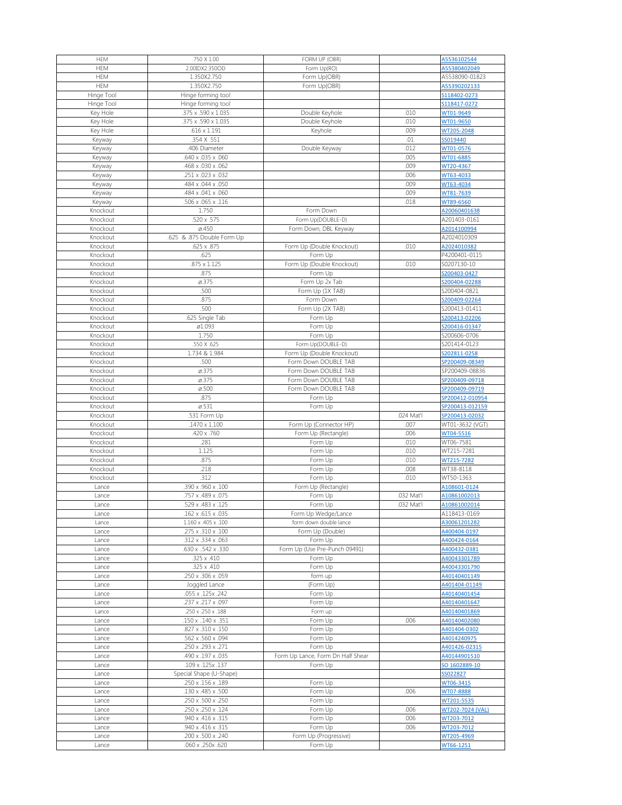| <b>HEM</b> | .750 X 1.00                             | FORM UP (OBR)                     |            | A5536102544             |
|------------|-----------------------------------------|-----------------------------------|------------|-------------------------|
| <b>HEM</b> | 2.00IDX2.350OD                          | Form Up(RO)                       |            | A55380402049            |
| <b>HEM</b> | 1.350X2.750                             | Form Up(OBR)                      |            | A5538090-01823          |
|            |                                         |                                   |            |                         |
| <b>HEM</b> | 1.350X2.750                             | Form Up(OBR)                      |            | A55390202133            |
| Hinge Tool | Hinge forming tool                      |                                   |            | S118402-0273            |
| Hinge Tool | Hinge forming tool                      |                                   |            | S118417-0272            |
| Key Hole   | .375 x .590 x 1.035                     | Double Keyhole                    | .010       | WT01-9649               |
| Key Hole   | $.375 \times .590 \times 1.035$         | Double Keyhole                    | .010       | WT01-9650               |
| Key Hole   | $.616 \times 1.191$                     | Keyhole                           | .009       | WT205-2048              |
| Keyway     | .354 X .551                             |                                   | .01        | SS019440                |
|            | .406 Diameter                           |                                   | .012       | WT01-0576               |
| Keyway     |                                         | Double Keyway                     |            |                         |
| Keyway     | .640 x .035 x .060                      |                                   | .005       | WT01-6885               |
| Keyway     | .468 x .030 x .062                      |                                   | .009       | WT20-4367               |
| Keyway     | .251 x .023 x .032                      |                                   | .006       | WT63-4033               |
| Keyway     | .484 x .044 x .050                      |                                   | .009       | WT63-4034               |
| Keyway     | .484 x .041 x .060                      |                                   | .009       | WT81-7639               |
| Keyway     | .506 x .065 x .116                      |                                   | .018       | WT89-6560               |
| Knockout   | 1.750                                   | Form Down                         |            | A20060401638            |
| Knockout   | .520 x .575                             |                                   |            | A201403-0161            |
|            |                                         | Form Up(DOUBLE-D)                 |            |                         |
| Knockout   | $\varnothing$ .450                      | Form Down, DBL Keyway             |            | A2014100994             |
| Knockout   | .625 & .875 Double Form Up              |                                   |            | A2024010309             |
| Knockout   | .625 x .875                             | Form Up (Double Knockout)         | .010       | A2024010382             |
| Knockout   | .625                                    | Form Up                           |            | P4200401-0115           |
| Knockout   | $.875 \times 1.125$                     | Form Up (Double Knockout)         | .010       | S0207130-10             |
| Knockout   | .875                                    | Form Up                           |            | S200403-0427            |
| Knockout   | $\varnothing$ .375                      | Form Up 2x Tab                    |            | S200404-02288           |
|            |                                         |                                   |            |                         |
| Knockout   | .500                                    | Form Up (1X TAB)                  |            | S200404-0821            |
| Knockout   | .875                                    | Form Down                         |            | S200409-02264           |
| Knockout   | .500                                    | Form Up (2X TAB)                  |            | S200413-01411           |
| Knockout   | .625 Single Tab                         | Form Up                           |            | S200413-02206           |
| Knockout   | ø1.093                                  | Form Up                           |            | S200416-01347           |
| Knockout   | 1.750                                   | Form Up                           |            | S200606-0706            |
| Knockout   | .550 X .625                             | Form Up(DOUBLE-D)                 |            | S201414-0123            |
|            | 1.734 & 1.984                           |                                   |            |                         |
| Knockout   |                                         | Form Up (Double Knockout)         |            | S202811-0258            |
| Knockout   | .500                                    | Form Down DOUBLE TAB              |            | SP200409-08349          |
| Knockout   | $\varnothing$ .375                      | Form Down DOUBLE TAB              |            | SP200409-08836          |
| Knockout   | $\varnothing$ .375                      | Form Down DOUBLE TAB              |            | SP200409-09718          |
| Knockout   | $\varnothing$ .500                      | Form Down DOUBLE TAB              |            | SP200409-09719          |
| Knockout   | .875                                    | Form Up                           |            | SP200412-010954         |
| Knockout   | $\varnothing$ .531                      | Form Up                           |            | SP200413-012159         |
| Knockout   | .531 Form Up                            |                                   | .024 Mat'l | SP200413-02032          |
| Knockout   | .1470 x 1.100                           |                                   | .007       |                         |
|            |                                         | Form Up (Connector HP)            |            | WT01-3632 (VGT)         |
| Knockout   | .420 x .760                             | Form Up (Rectangle)               | .006       | WT04-5516               |
| Knockout   | .281                                    | Form Up                           | .010       | WT06-7581               |
| Knockout   | 1.125                                   | Form Up                           | .010       | WT215-7281              |
| Knockout   | .875                                    | Form Up                           | .010       | WT215-7282              |
| Knockout   | .218                                    | Form Up                           | .008       | WT38-8118               |
| Knockout   | .312                                    | Form Up                           | .010       | WT50-1363               |
| Lance      | .390 x .960 x .100                      | Form Up (Rectangle)               |            |                         |
|            |                                         |                                   |            |                         |
| Lance      |                                         |                                   |            | A108601-0124            |
|            | .757 x .489 x .075                      | Form Up                           | .032 Mat'l | A10861002013            |
| Lance      | .529 x .483 x .125                      | Form Up                           | .032 Mat'l | A10861002014            |
| Lance      | .162 x .615 x .035                      | Form Up Wedge/Lance               |            | A118413-0169            |
| Lance      | 1.160 x .405 x .100                     | form down double lance            |            | A30061201282            |
| Lance      | .275 x .310 x .100                      | Form Up (Double)                  |            | A400404-0197            |
| Lance      | .312 x .334 x .063                      | Form Up                           |            | A400424-0164            |
| Lance      | .630 x .542 x .330                      | Form Up (Use Pre-Punch 09491)     |            | A400432-0381            |
| Lance      | $.325 \times .410$                      |                                   |            | A40043301789            |
|            |                                         | Form Up                           |            |                         |
| Lance      | .325 x .410                             | Form Up                           |            | A40043301790            |
| Lance      | .250 x .306 x .059                      | form up                           |            | A40140401149            |
| Lance      | Joggled Lance                           | (Form Up)                         |            | A401404-01149           |
| Lance      | .055 x .125x .242                       | Form Up                           |            | A40140401454            |
| Lance      | .237 x .217 x .097                      | Form Up                           |            | A40140401647            |
| Lance      | .250 x .250 x .188                      | Form up                           |            | A40140401869            |
| Lance      | .150 x .140 x .351                      | Form Up                           | .006       | A40140402080            |
| Lance      | .827 x .310 x .150                      | Form Up                           |            | A401404-0302            |
|            |                                         |                                   |            |                         |
| Lance      | .562 x .560 x .094                      | Form Up                           |            | A4014240975             |
| Lance      | .250 x .293 x .271                      | Form Up                           |            | A401426-02315           |
| Lance      | .490 x .197 x .035                      | Form Up Lance, Form Dn Half Shear |            | A40144901510            |
| Lance      | .109 x .125x .137                       | Form Up                           |            | SO 1602889-10           |
| Lance      | Special Shape (U-Shape)                 |                                   |            | SS022827                |
| Lance      | .250 x .156 x .189                      | Form Up                           |            | WT06-3415               |
| Lance      | .130 x .485 x .500                      | Form Up                           | .006       | WT07-8888               |
|            |                                         |                                   |            |                         |
| Lance      | .250 x .500 x .250                      | Form Up                           |            | WT201-5535              |
| Lance      | .250 x .250 x .124                      | Form Up                           | .006       | WT202-7024 (VAL)        |
| Lance      | .940 x .416 x .315                      | Form Up                           | .006       | WT203-7012              |
| Lance      | .940 x .416 x .315                      | Form Up                           | .006       | WT203-7012              |
| Lance      | .200 x .500 x .240<br>.060 x .250x .620 | Form Up (Progressive)<br>Form Up  |            | WT205-4969<br>WT66-1251 |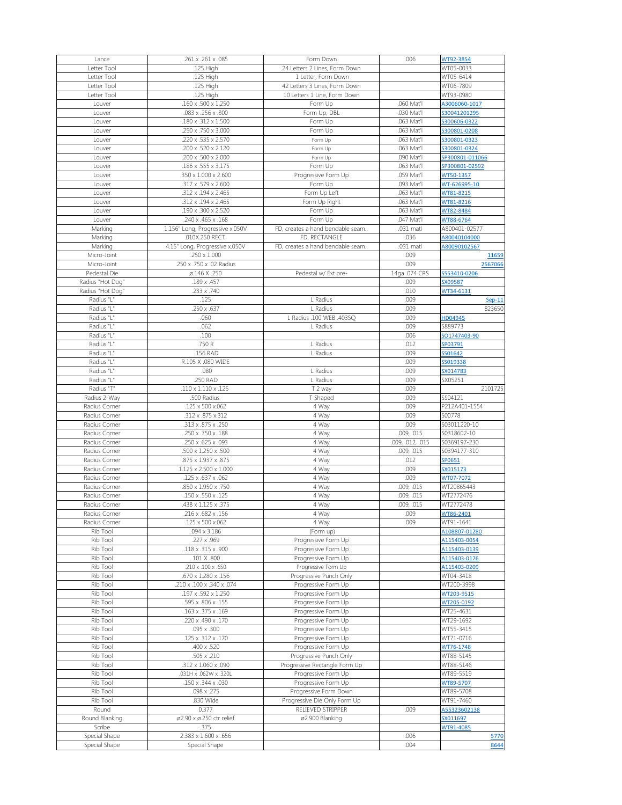| Lance            | .261 x .261 x .085                | Form Down                        | .006             | WT92-3854       |
|------------------|-----------------------------------|----------------------------------|------------------|-----------------|
| Letter Tool      | .125 High                         | 24 Letters 2 Lines, Form Down    |                  | WT05-0033       |
| Letter Tool      | .125 High                         | 1 Letter, Form Down              |                  | WT05-6414       |
| Letter Tool      | .125 High                         | 42 Letters 3 Lines, Form Down    |                  | WT06-7809       |
| Letter Tool      | .125 High                         | 10 Letters 1 Line, Form Down     |                  | WT93-0980       |
| Louver           | .160 x .500 x 1.250               | Form Up                          | .060 Mat'l       | A3006060-1017   |
| Louver           | .083 x .256 x .800                | Form Up, DBL                     | .030 Mat'l       | S30041201295    |
| Louver           | .180 x .312 x 1.500               | Form Up                          | .063 Mat'l       | S300606-0322    |
|                  |                                   |                                  |                  |                 |
| Louver           | .250 x .750 x 3.000               | Form Up                          | .063 Mat'l       | S300801-0208    |
| Louver           | .220 x .535 x 2.570               | Form Up                          | .063 Mat'l       | S300801-0323    |
| Louver           | .200 x .520 x 2.120               | Form Up                          | .063 Mat'l       | S300801-0324    |
| Louver           | .200 x .500 x 2.000               | Form Up                          | .090 Mat'l       | SP300801-011066 |
| Louver           | .186 x .555 x 3.175               | Form Up                          | .063 Mat'l       | SP300801-02592  |
| Louver           | .350 x 1.000 x 2.600              | Progressive Form Up              | .059 Mat'l       | WT50-1357       |
| Louver           | .317 x .579 x 2.600               | Form Up                          | .093 Mat'l       | WT-626995-10    |
| Louver           | .312 x .194 x 2.465               | Form Up Left                     | .063 Mat'l       | WT81-8215       |
| Louver           | .312 x .194 x 2.465               | Form Up Right                    | .063 Mat'l       | WT81-8216       |
| Louver           | .190 x .300 x 2.520               | Form Up                          | .063 Mat'l       | WT82-8484       |
| Louver           | .240 x .465 x .168                | Form Up                          | .047 Mat'l       | WT88-6764       |
| Marking          | 1.156" Long, Progressive x.050V   | FD, creates a hand bendable seam | .031 matl        | A800401-02577   |
| Marking          | .010X.250 RECT.                   | FD, RECTANGLE                    | .036             | A80040104000    |
|                  |                                   |                                  |                  |                 |
| Marking          | 4.15" Long, Progressive x.050V    | FD, creates a hand bendable seam | .031 matl        | A80090102567    |
| Micro-Joint      | $.250 \times 1.000$               |                                  | .009             | 11659           |
| Micro-Joint      | .250 x .750 x .02 Radius          |                                  | .009             | 2567066         |
| Pedestal Die     | Ø.146 X .250                      | Pedestal w/ Ext pre-             | 14ga .074 CRS    | S553410-0206    |
| Radius "Hot Dog" | .189 x .457                       |                                  | .009             | SX09587         |
| Radius "Hot Dog" | .233 x .740                       |                                  | .010             | WT34-6131       |
| Radius "L"       | .125                              | L Radius                         | .009             | $Sep-11$        |
| Radius "L"       | .250 x .637                       | L Radius                         | .009             | 823650          |
| Radius "L"       | .060                              | L Radius .100 WEB .403SQ         | .009             | HD04945         |
| Radius "L"       | .062                              | L Radius                         | .009             | S889773         |
| Radius "L"       | .100                              |                                  | .006             | SO1747403-90    |
|                  |                                   |                                  |                  |                 |
| Radius "L"       | .750 R                            | L Radius                         | .012             | SP03791         |
| Radius "L"       | .156 RAD                          | L Radius                         | .009             | SS01642         |
| Radius "L"       | R.105 X .080 WIDE                 |                                  | .009             | SS019338        |
| Radius "L"       | .080                              | L Radius                         | .009             | SX014783        |
| Radius "L"       | .250 RAD                          | L Radius                         | .009             | SX05251         |
| Radius "T"       | .110 x 1.110 x .125               | T 2 way                          | .009             | 2101725         |
| Radius 2-Way     | .500 Radius                       | T Shaped                         | .009             | SS04121         |
|                  |                                   |                                  |                  |                 |
| Radius Corner    | .125 x 500 x.062                  | 4 Way                            | .009             | P212A401-1554   |
| Radius Corner    |                                   |                                  |                  | S00778          |
|                  | .312 x .875 x.312                 | 4 Way                            | .009             |                 |
| Radius Corner    | .313 x .875 x .250                | 4 Way                            | .009             | S03011220-10    |
| Radius Corner    | .250 x .750 x .188                | 4 Way                            | .009, .015       | S0318602-10     |
| Radius Corner    | .250 x .625 x .093                | 4 Way                            | .009, .012, .015 | S0369197-230    |
| Radius Corner    | .500 x 1.250 x .500               | 4 Way                            | .009, .015       | S0394177-310    |
| Radius Corner    | .875 x 1.937 x .875               | 4 Way                            | .012             | SP0651          |
| Radius Corner    | $1.125 \times 2.500 \times 1.000$ | 4 Way                            | .009             | SX015173        |
| Radius Corner    | .125 x .637 x .062                | 4 Way                            | .009             | WT07-7072       |
| Radius Corner    | .850 x 1.950 x .750               | 4 Way                            | .009, .015       | WT20865443      |
| Radius Corner    | .150 x .550 x .125                | 4 Way                            | .009, .015       | WT2772476       |
| Radius Corner    | .438 x 1.125 x .375               | 4 Way                            | .009, .015       | WT2772478       |
| Radius Corner    | $\overline{.216}$ x .682 x .156   | 4 Way                            | .009             | WT86-2401       |
| Radius Corner    | .125 x 500 x.062                  | 4 Way                            | .009             | WT91-1641       |
| Rib Tool         | .094 x 3.186                      | (Form up)                        |                  | A108807-01280   |
| Rib Tool         | .227 x .969                       | Progressive Form Up              |                  | A115403-0054    |
| Rib Tool         |                                   |                                  |                  |                 |
|                  | .118 x .315 x .900                | Progressive Form Up              |                  | A115403-0139    |
| Rib Tool         | .101 X .800                       | Progressive Form Up              |                  | A115403-0176    |
| Rib Tool         | .210 x .100 x .650                | Progressive Form Up              |                  | A115403-0209    |
| Rib Tool         | .670 x 1.280 x .156               | Progressive Punch Only           |                  | WT04-3418       |
| Rib Tool         | .210 x .100 x .340 x .074         | Progressive Form Up              |                  | WT200-3998      |
| Rib Tool         | .197 x .592 x 1.250               | Progressive Form Up              |                  | WT203-9515      |
| Rib Tool         | .595 x .806 x .155                | Progressive Form Up              |                  | WT205-0192      |
| Rib Tool         | .163 x .375 x .169                | Progressive Form Up              |                  | WT25-4631       |
| Rib Tool         | .220 x .490 x .170                | Progressive Form Up              |                  | WT29-1692       |
| Rib Tool         | .095 x .300                       | Progressive Form Up              |                  | WT55-3415       |
| Rib Tool         | .125 x .312 x .170                | Progressive Form Up              |                  | WT71-0716       |
| Rib Tool         | .400 x .520                       | Progressive Form Up              |                  | WT76-1748       |
|                  |                                   |                                  |                  |                 |
| Rib Tool         | $.505 \times .210$                | Progressive Punch Only           |                  | WT88-5145       |
| Rib Tool         | .312 x 1.060 x .090               | Progressive Rectangle Form Up    |                  | WT88-5146       |
| Rib Tool         | .031H x .062W x .320L             | Progressive Form Up              |                  | WT89-5519       |
| Rib Tool         | .150 x .344 x .030                | Progressive Form Up              |                  | WT89-5707       |
| Rib Tool         | .098 x .275                       | Progressive Form Down            |                  | WT89-5708       |
| Rib Tool         | .830 Wide                         | Progressive Die Only Form Up     |                  | WT91-7460       |
| Round            | 0.377                             | RELIEVED STRIPPER                | .009             | A55323602138    |
| Round Blanking   | ø2.90 x ø.250 ctr relief          | ø2.900 Blanking                  |                  | SX011697        |
| Scribe           | .375                              |                                  |                  | WT91-4085       |
| Special Shape    | 2.383 x 1.600 x .656              |                                  | .006             | 5770            |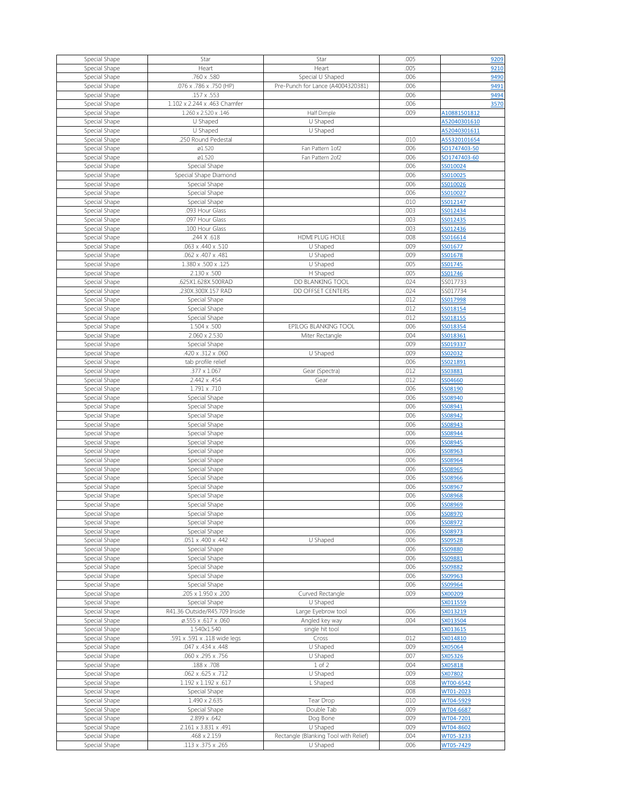| Special Shape                  | Star                               | Star                                              | .005         |                        |
|--------------------------------|------------------------------------|---------------------------------------------------|--------------|------------------------|
|                                |                                    |                                                   |              | 9209                   |
| Special Shape                  | Heart                              | Heart                                             | .005         | 9210                   |
| Special Shape                  | .760 x .580                        | Special U Shaped                                  | .006         | 9490                   |
| Special Shape                  | .076 x .786 x .750 (HP)            | Pre-Punch for Lance (A4004320381)                 | .006         | 9491                   |
|                                |                                    |                                                   |              |                        |
| Special Shape                  | .157 x .553                        |                                                   | .006         | 9494                   |
| Special Shape                  | 1.102 x 2.244 x .463 Chamfer       |                                                   | .006         | 3570                   |
|                                |                                    |                                                   |              |                        |
| Special Shape                  | 1.260 x 2.520 x .146               | Half Dimple                                       | .009         | A10881501812           |
| Special Shape                  | U Shaped                           | U Shaped                                          |              | A52040301610           |
| Special Shape                  | U Shaped                           | U Shaped                                          |              | A52040301611           |
|                                |                                    |                                                   |              |                        |
| Special Shape                  | .250 Round Pedestal                |                                                   | .010         | A55320101654           |
| Special Shape                  | ø1.520                             | Fan Pattern 1of2                                  | .006         | SO1747403-50           |
|                                | ø1.520                             | Fan Pattern 2of2                                  | .006         | SO1747403-60           |
| Special Shape                  |                                    |                                                   |              |                        |
| Special Shape                  | Special Shape                      |                                                   | .006         | SS010024               |
| Special Shape                  | Special Shape Diamond              |                                                   | .006         | SS010025               |
|                                |                                    |                                                   |              |                        |
| Special Shape                  | Special Shape                      |                                                   | .006         | SS010026               |
| Special Shape                  | Special Shape                      |                                                   | .006         | SS010027               |
| Special Shape                  | Special Shape                      |                                                   | .010         | SS012147               |
|                                |                                    |                                                   |              |                        |
| Special Shape                  | .093 Hour Glass                    |                                                   | .003         | SS012434               |
| Special Shape                  | .097 Hour Glass                    |                                                   | .003         | SS012435               |
| Special Shape                  | .100 Hour Glass                    |                                                   | .003         | SS012436               |
|                                |                                    |                                                   |              |                        |
| Special Shape                  | .244 X .618                        | <b>HDMI PLUG HOLE</b>                             | .008         | SS016614               |
| Special Shape                  | .063 x .440 x .510                 | U Shaped                                          | .009         | SS01677                |
|                                |                                    |                                                   |              |                        |
| Special Shape                  | .062 x .407 x .481                 | U Shaped                                          | .009         | SS01678                |
| Special Shape                  | 1.380 x .500 x .125                | U Shaped                                          | .005         | SS01745                |
| Special Shape                  | $2.130 \times .500$                | H Shaped                                          | .005         | SS01746                |
|                                |                                    |                                                   |              |                        |
| Special Shape                  | .625X1.628X.500RAD                 | DD BLANKING TOOL                                  | .024         | SS017733               |
| Special Shape                  | .230X.300X.157 RAD                 | DD OFFSET CENTERS                                 | .024         | SS017734               |
| Special Shape                  | Special Shape                      |                                                   | .012         | SS017998               |
|                                |                                    |                                                   |              |                        |
| Special Shape                  | Special Shape                      |                                                   | .012         | SS018154               |
| Special Shape                  | Special Shape                      |                                                   | .012         | SS018155               |
| Special Shape                  | $1.504 \times .500$                | EPILOG BLANKING TOOL                              | .006         | SS018354               |
|                                |                                    |                                                   |              |                        |
| Special Shape                  | 2.060 x 2.530                      | Miter Rectangle                                   | .004         | SS018361               |
| Special Shape                  | Special Shape                      |                                                   | .009         | SS019337               |
|                                | .420 x .312 x .060                 |                                                   | .009         |                        |
| Special Shape                  |                                    | U Shaped                                          |              | SS02032                |
| Special Shape                  | tab profile relief                 |                                                   | .006         | SS021891               |
| Special Shape                  | .377 x 1.067                       | Gear (Spectra)                                    | .012         | SS03881                |
|                                |                                    |                                                   |              |                        |
| Special Shape                  | 2.442 x .454                       | Gear                                              | .012         | SS04660                |
| Special Shape                  | 1.791 x .710                       |                                                   | .006         | SS08190                |
| Special Shape                  | Special Shape                      |                                                   | .006         | SS08940                |
|                                |                                    |                                                   |              |                        |
| Special Shape                  | Special Shape                      |                                                   | .006         | SS08941                |
| Special Shape                  | Special Shape                      |                                                   | .006         | SS08942                |
|                                |                                    |                                                   | .006         | SS08943                |
| Special Shape                  | Special Shape                      |                                                   |              |                        |
| Special Shape                  | Special Shape                      |                                                   | .006         | SS08944                |
| Special Shape                  | Special Shape                      |                                                   | .006         | SS08945                |
|                                |                                    |                                                   |              |                        |
| Special Shape                  | Special Shape                      |                                                   | .006         | SS08963                |
| Special Shape                  | Special Shape                      |                                                   | .006         | SS08964                |
| Special Shape                  | Special Shape                      |                                                   | .006         | SS08965                |
|                                |                                    |                                                   |              |                        |
| Special Shape                  | Special Shape                      |                                                   | .006         |                        |
| Special Shape                  | Special Shape                      |                                                   |              | SS08966                |
|                                |                                    |                                                   | .006         | SS08967                |
|                                |                                    |                                                   |              |                        |
| Special Shape                  | Special Shape                      |                                                   | .006         | SS08968                |
| Special Shape                  | Special Shape                      |                                                   | .006         | SS08969                |
| Special Shape                  | Special Shape                      |                                                   | .006         | SS08970                |
|                                |                                    |                                                   |              |                        |
| Special Shape                  | Special Shape                      |                                                   | .006         | SS08972                |
| Special Shape                  | Special Shape                      |                                                   | .006         | SS08973                |
| Special Shape                  | .051 x .400 x .442                 | U Shaped                                          | .006         | SS09528                |
|                                |                                    |                                                   |              |                        |
| Special Shape                  | Special Shape                      |                                                   | .006         | SS09880                |
| Special Shape                  | Special Shape                      |                                                   | .006         | SS09881                |
| Special Shape                  | Special Shape                      |                                                   | .006         | SS09882                |
|                                |                                    |                                                   |              |                        |
| Special Shape                  | Special Shape                      |                                                   | .006         | SS09963                |
| Special Shape                  | Special Shape                      |                                                   | .006         | SS09964                |
| Special Shape                  | .205 x 1.950 x .200                | Curved Rectangle                                  | .009         | SX00209                |
|                                |                                    |                                                   |              |                        |
| Special Shape                  | Special Shape                      | U Shaped                                          |              | SX011559               |
| Special Shape                  | R41.36 Outside/R45.709 Inside      | Large Eyebrow tool                                | .006         | SX013219               |
| Special Shape                  | Ø.555 x .617 x .060                | Angled key way                                    | .004         | SX013504               |
|                                |                                    |                                                   |              |                        |
| Special Shape                  | 1.540x1.540                        | single hit tool                                   |              | SX013615               |
| Special Shape                  | .591 x .591 x .118 wide legs       | Cross                                             | .012         | SX014810               |
| Special Shape                  | .047 x .434 x .448                 | U Shaped                                          | .009         | SX05064                |
|                                |                                    |                                                   |              |                        |
| Special Shape                  | .060 x .295 x .756                 | U Shaped                                          | .007         | SX05326                |
| Special Shape                  | .188 x .708                        | $1$ of $2$                                        | .004         | SX05818                |
| Special Shape                  | .062 x .625 x .712                 | U Shaped                                          | .009         | SX07802                |
|                                |                                    |                                                   |              |                        |
| Special Shape                  | $1.192 \times 1.192 \times .617$   | L Shaped                                          | .008         | WT00-6542              |
| Special Shape                  | Special Shape                      |                                                   | .008         | WT01-2023              |
|                                | 1.490 x 2.635                      |                                                   | .010         | WT04-5929              |
| Special Shape                  |                                    | Tear Drop                                         |              |                        |
| Special Shape                  | Special Shape                      | Double Tab                                        | .009         | WT04-6687              |
| Special Shape                  | 2.899 x .642                       | Dog Bone                                          | .009         | WT04-7201              |
|                                | 2.161 x 3.831 x .491               | U Shaped                                          | .009         | WT04-8602              |
| Special Shape                  |                                    |                                                   |              |                        |
| Special Shape<br>Special Shape | .468 x 2.159<br>.113 x .375 x .265 | Rectangle (Blanking Tool with Relief)<br>U Shaped | .004<br>.006 | WT05-3233<br>WT05-7429 |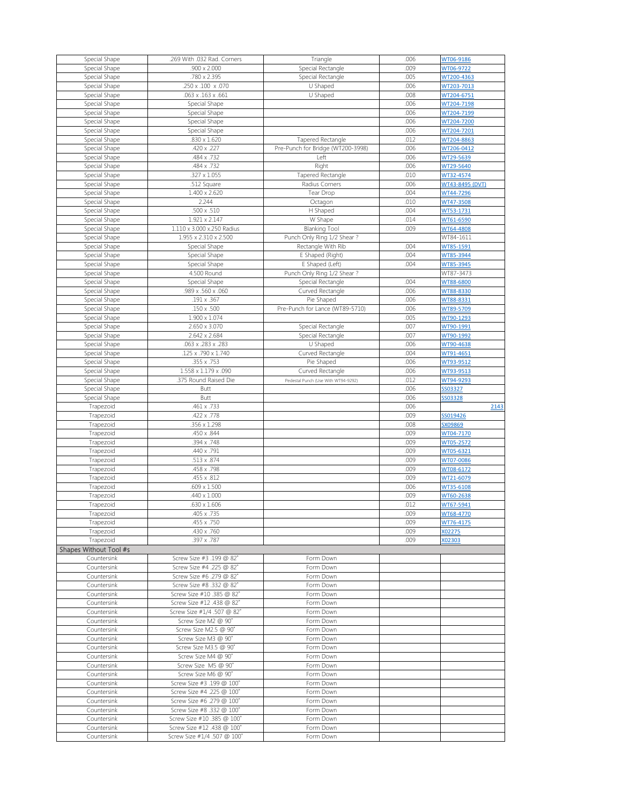|                                | .269 With .032 Rad. Corners                               | Triangle                            | .006 | WT06-9186       |
|--------------------------------|-----------------------------------------------------------|-------------------------------------|------|-----------------|
| Special Shape<br>Special Shape | $.900 \times 2.000$                                       | Special Rectangle                   | .009 | WT06-9722       |
|                                |                                                           |                                     |      |                 |
| Special Shape                  | .780 x 2.395                                              | Special Rectangle                   | .005 | WT200-4363      |
| Special Shape                  | .250 x .100 x .070                                        | U Shaped                            | .006 | WT203-7013      |
| Special Shape                  | .063 x .163 x .661                                        | U Shaped                            | .008 | WT204-6751      |
| Special Shape                  | Special Shape                                             |                                     | .006 | WT204-7198      |
|                                |                                                           |                                     |      |                 |
| Special Shape                  | Special Shape                                             |                                     | .006 | WT204-7199      |
| Special Shape                  | Special Shape                                             |                                     | .006 | WT204-7200      |
| Special Shape                  | Special Shape                                             |                                     | .006 | WT204-7201      |
| Special Shape                  | .830 x 1.620                                              | Tapered Rectangle                   | .012 | WT204-8863      |
|                                |                                                           |                                     |      |                 |
| Special Shape                  | .420 x .227                                               | Pre-Punch for Bridge (WT200-3998)   | .006 | WT206-0412      |
| Special Shape                  | .484 x .732                                               | Left                                | .006 | WT29-5639       |
| Special Shape                  | .484 x .732                                               | Right                               | .006 | WT29-5640       |
| Special Shape                  | $.327 \times 1.055$                                       | Tapered Rectangle                   | .010 | WT32-4574       |
|                                |                                                           |                                     |      |                 |
| Special Shape                  | .512 Square                                               | Radius Corners                      | .006 | WT43-8495 (DVT) |
| Special Shape                  | 1.400 x 2.620                                             | Tear Drop                           | .004 | WT44-7296       |
| Special Shape                  | 2.244                                                     | Octagon                             | .010 | WT47-3508       |
| Special Shape                  | .500 x .510                                               | H Shaped                            | .004 | WT53-1731       |
|                                |                                                           |                                     |      |                 |
| Special Shape                  | 1.921 x 2.147                                             | W Shape                             | .014 | WT61-6590       |
| Special Shape                  | 1.110 x 3.000 x.250 Radius                                | <b>Blanking Tool</b>                | .009 | WT64-4808       |
| Special Shape                  | 1.955 x 2.310 x 2.500                                     | Punch Only Ring 1/2 Shear?          |      | WT84-1611       |
|                                |                                                           | Rectangle With Rib                  | .004 | WT85-1591       |
| Special Shape                  | Special Shape                                             |                                     |      |                 |
| Special Shape                  | Special Shape                                             | E Shaped (Right)                    | .004 | WT85-3944       |
| Special Shape                  | Special Shape                                             | E Shaped (Left)                     | .004 | WT85-3945       |
| Special Shape                  | 4.500 Round                                               | Punch Only Ring 1/2 Shear?          |      | WT87-3473       |
|                                |                                                           |                                     |      |                 |
| Special Shape                  | Special Shape                                             | Special Rectangle                   | .004 | WT88-6800       |
| Special Shape                  | .989 x .560 x .060                                        | Curved Rectangle                    | .006 | WT88-8330       |
| Special Shape                  | .191 x .367                                               | Pie Shaped                          | .006 | WT88-8331       |
| Special Shape                  | $.150 \times .500$                                        | Pre-Punch for Lance (WT89-5710)     | .006 | WT89-5709       |
|                                |                                                           |                                     |      |                 |
| Special Shape                  | 1.900 x 1.074                                             |                                     | .005 | WT90-1293       |
| Special Shape                  | 2.650 x 3.070                                             | Special Rectangle                   | .007 | WT90-1991       |
| Special Shape                  | 2.642 x 2.684                                             | Special Rectangle                   | .007 | WT90-1992       |
| Special Shape                  | .063 x .283 x .283                                        | U Shaped                            | .006 | WT90-4638       |
|                                |                                                           |                                     |      |                 |
| Special Shape                  | 125 x .790 x 1.740                                        | Curved Rectangle                    | .004 | WT91-4651       |
| Special Shape                  | .355 x .753                                               | Pie Shaped                          | .006 | WT93-9512       |
| Special Shape                  | 1.558 x 1.179 x .090                                      | Curved Rectangle                    | .006 | WT93-9513       |
| Special Shape                  | .375 Round Raised Die                                     | Pedestal Punch (Use With WT94-9292) | .012 | WT94-9293       |
|                                |                                                           |                                     |      |                 |
| Special Shape                  | <b>Butt</b>                                               |                                     | .006 | SS03327         |
| Special Shape                  | <b>Butt</b>                                               |                                     | .006 | SS03328         |
| Trapezoid                      | .461 x .733                                               |                                     | .006 | 2143            |
|                                |                                                           |                                     |      |                 |
|                                |                                                           |                                     |      |                 |
| Trapezoid                      | .422 x .778                                               |                                     | .009 | SS019426        |
| Trapezoid                      | .356 x 1.298                                              |                                     | .008 | SX09869         |
| Trapezoid                      | .450 x .844                                               |                                     | .009 | WT04-7170       |
| Trapezoid                      | .394 x .748                                               |                                     | .009 | WT05-2572       |
|                                |                                                           |                                     |      |                 |
| Trapezoid                      | .440 x .791                                               |                                     | .009 | WT05-6321       |
| Trapezoid                      | .513 x .874                                               |                                     | .009 | WT07-0086       |
| Trapezoid                      | .458 x .798                                               |                                     | .009 | WT08-6172       |
| Trapezoid                      | .455 x .812                                               |                                     | .009 | WT21-6079       |
|                                |                                                           |                                     |      |                 |
| Trapezoid                      | $.609 \times 1.500$                                       |                                     | .006 | WT35-6108       |
| Trapezoid                      | .440 x 1.000                                              |                                     | .009 | WT60-2638       |
| Trapezoid                      | $.630 \times 1.606$                                       |                                     | .012 | WT67-5941       |
| Trapezoid                      | .405 x .735                                               |                                     | .009 | WT68-4770       |
| Trapezoid                      | .455 x .750                                               |                                     | .009 | WT76-4175       |
|                                |                                                           |                                     |      |                 |
| Trapezoid                      | .430 x .760                                               |                                     | .009 | X02275          |
| Trapezoid                      | .397 x .787                                               |                                     | .009 | X02303          |
| Shapes Without Tool #s         |                                                           |                                     |      |                 |
| Countersink                    | Screw Size #3 .199 @ 82°                                  | Form Down                           |      |                 |
|                                |                                                           | Form Down                           |      |                 |
| Countersink                    | Screw Size #4 .225 @ 82°                                  |                                     |      |                 |
| Countersink                    | Screw Size #6 .279 @ 82°                                  | Form Down                           |      |                 |
| Countersink                    | Screw Size #8 .332 @ 82°                                  | Form Down                           |      |                 |
| Countersink                    | Screw Size #10.385 @ 82°                                  | Form Down                           |      |                 |
| Countersink                    | Screw Size #12 .438 @ 82°                                 | Form Down                           |      |                 |
|                                |                                                           |                                     |      |                 |
| Countersink                    | Screw Size #1/4 .507 @ 82°                                | Form Down                           |      |                 |
| Countersink                    | Screw Size M2 @ 90°                                       | Form Down                           |      |                 |
| Countersink                    | Screw Size M2.5 @ 90°                                     | Form Down                           |      |                 |
| Countersink                    | Screw Size M3 @ 90°                                       | Form Down                           |      |                 |
|                                |                                                           |                                     |      |                 |
| Countersink                    | Screw Size M3.5 @ 90°                                     | Form Down                           |      |                 |
| Countersink                    | Screw Size M4 @ 90°                                       | Form Down                           |      |                 |
| Countersink                    | Screw Size M5 @ 90°                                       | Form Down                           |      |                 |
| Countersink                    | Screw Size M6 @ 90°                                       | Form Down                           |      |                 |
|                                |                                                           |                                     |      |                 |
| Countersink                    | Screw Size #3 .199 @ 100°                                 | Form Down                           |      |                 |
| Countersink                    | Screw Size #4 .225 @ 100°                                 | Form Down                           |      |                 |
| Countersink                    | Screw Size #6 .279 @ 100°                                 | Form Down                           |      |                 |
| Countersink                    | Screw Size #8 .332 @ 100°                                 | Form Down                           |      |                 |
| Countersink                    | Screw Size #10.385 @ 100°                                 | Form Down                           |      |                 |
|                                |                                                           |                                     |      |                 |
| Countersink<br>Countersink     | Screw Size #12 .438 @ 100°<br>Screw Size #1/4 .507 @ 100° | Form Down<br>Form Down              |      |                 |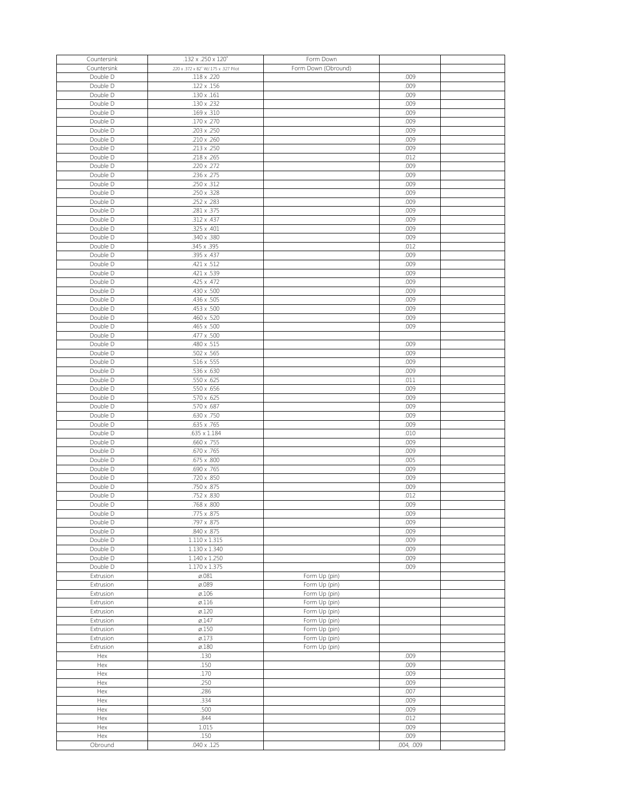| Countersink | .132 x .250 x 120°                    | Form Down           |            |  |
|-------------|---------------------------------------|---------------------|------------|--|
| Countersink | .220 x .372 x 82° W/.175 x .327 Pilot | Form Down (Obround) |            |  |
| Double D    | .118 x .220                           |                     | .009       |  |
| Double D    | .122 x .156                           |                     | .009       |  |
|             |                                       |                     |            |  |
| Double D    | $.130 \times .161$                    |                     | .009       |  |
| Double D    | .130 x .232                           |                     | .009       |  |
| Double D    | .169 x .310                           |                     | .009       |  |
| Double D    | .170 x .270                           |                     | .009       |  |
| Double D    | .203 x .250                           |                     | .009       |  |
| Double D    | $.210 \times .260$                    |                     | .009       |  |
| Double D    | .213 x .250                           |                     | .009       |  |
|             |                                       |                     |            |  |
| Double D    | .218 x .265                           |                     | .012       |  |
| Double D    | .220 x .272                           |                     | .009       |  |
| Double D    | .236 x .275                           |                     | .009       |  |
| Double D    | .250 x .312                           |                     | .009       |  |
| Double D    | .250 x .328                           |                     | .009       |  |
| Double D    | .252 x .283                           |                     | .009       |  |
| Double D    | .281 x .375                           |                     | .009       |  |
|             |                                       |                     |            |  |
| Double D    | .312 x .437                           |                     | .009       |  |
| Double D    | .325 x .401                           |                     | .009       |  |
| Double D    | .340 x .380                           |                     | .009       |  |
| Double D    | .345 x .395                           |                     | .012       |  |
| Double D    | .395 x .437                           |                     | .009       |  |
| Double D    | .421 x .512                           |                     | .009       |  |
| Double D    | .421 x .539                           |                     | .009       |  |
| Double D    | .425 x .472                           |                     | .009       |  |
|             |                                       |                     |            |  |
| Double D    | .430 x .500                           |                     | .009       |  |
| Double D    | .436 x .505                           |                     | .009       |  |
| Double D    | .453 x .500                           |                     | .009       |  |
| Double D    | .460 x .520                           |                     | .009       |  |
| Double D    | .465 x .500                           |                     | .009       |  |
| Double D    | .477 x .500                           |                     |            |  |
| Double D    | .480 x .515                           |                     | .009       |  |
|             |                                       |                     | .009       |  |
| Double D    | $.502 \times .565$                    |                     |            |  |
| Double D    | $.516 \times .555$                    |                     | .009       |  |
| Double D    | .536 x .630                           |                     | .009       |  |
| Double D    | $.550 \times .625$                    |                     | .011       |  |
| Double D    | .550 x .656                           |                     | .009       |  |
| Double D    | .570 x .625                           |                     | .009       |  |
| Double D    | .570 x .687                           |                     | .009       |  |
| Double D    | .630 x .750                           |                     | .009       |  |
|             | .635 x .765                           |                     | .009       |  |
| Double D    |                                       |                     |            |  |
| Double D    | $.635 \times 1.184$                   |                     | .010       |  |
| Double D    | .660 x .755                           |                     | .009       |  |
| Double D    | .670 x .765                           |                     | .009       |  |
| Double D    | .675 x .800                           |                     | .005       |  |
| Double D    | .690 x .765                           |                     | .009       |  |
| Double D    | .720 x .850                           |                     | .009       |  |
| Double D    | .750 x .875                           |                     | .009       |  |
|             |                                       |                     |            |  |
| Double D    | .752 x .830                           |                     | .012       |  |
| Double D    | .768 x .800                           |                     | .009       |  |
| Double D    | .775 x .875                           |                     | .009       |  |
| Double D    | .797 x .875                           |                     | .009       |  |
| Double D    | .840 x .875                           |                     | .009       |  |
| Double D    | $1.110 \times 1.315$                  |                     | .009       |  |
| Double D    | $1.130 \times 1.340$                  |                     | .009       |  |
| Double D    | 1.140 x 1.250                         |                     | .009       |  |
| Double D    | $1.170 \times 1.375$                  |                     | .009       |  |
|             |                                       |                     |            |  |
| Extrusion   | $\varnothing.081$                     | Form Up (pin)       |            |  |
| Extrusion   | ø.089                                 | Form Up (pin)       |            |  |
| Extrusion   | $\varnothing$ .106                    | Form Up (pin)       |            |  |
| Extrusion   | $\varnothing$ .116                    | Form Up (pin)       |            |  |
| Extrusion   | $\varnothing$ .120                    | Form Up (pin)       |            |  |
| Extrusion   | $\varnothing$ .147                    | Form Up (pin)       |            |  |
| Extrusion   | $\varnothing$ .150                    | Form Up (pin)       |            |  |
| Extrusion   | $\varnothing$ .173                    | Form Up (pin)       |            |  |
| Extrusion   | $\varnothing$ .180                    | Form Up (pin)       |            |  |
|             |                                       |                     |            |  |
| Hex         | .130                                  |                     | .009       |  |
| Hex         | .150                                  |                     | .009       |  |
| Hex         | .170                                  |                     | .009       |  |
| Hex         | .250                                  |                     | .009       |  |
| Hex         | .286                                  |                     | .007       |  |
| Hex         | .334                                  |                     | .009       |  |
| Hex         | .500                                  |                     | .009       |  |
| Hex         | .844                                  |                     | .012       |  |
|             |                                       |                     |            |  |
| Hex         | 1.015                                 |                     | .009       |  |
| Hex         | .150                                  |                     | .009       |  |
| Obround     | $.040 \times .125$                    |                     | .004, .009 |  |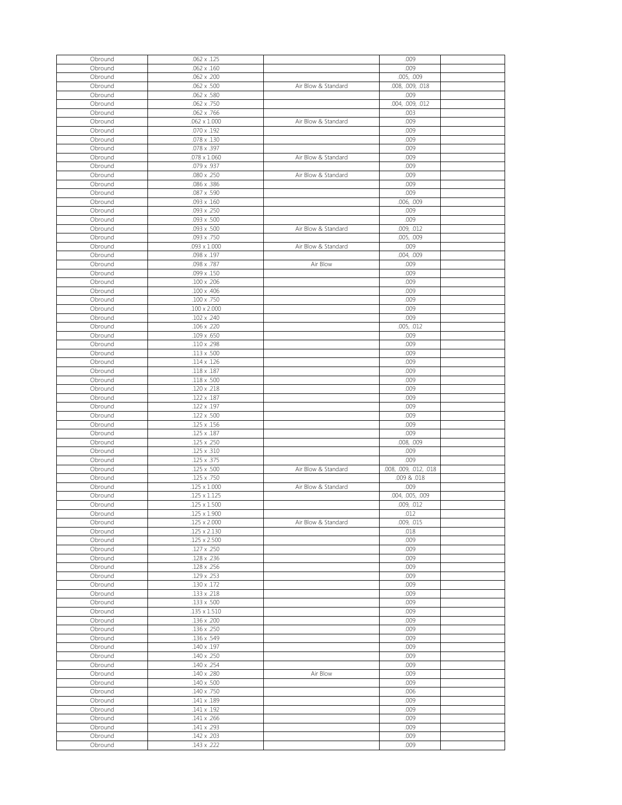| Obround | $.062 \times .125$  |                     | .009                   |  |
|---------|---------------------|---------------------|------------------------|--|
| Obround | $.062 \times .160$  |                     | .009                   |  |
| Obround | .062 x .200         |                     | .005, .009             |  |
|         |                     |                     |                        |  |
| Obround | .062 x .500         | Air Blow & Standard | .008, .009, .018       |  |
| Obround | $.062 \times .580$  |                     | .009                   |  |
| Obround | .062 x .750         |                     | .004, .009, .012       |  |
|         |                     |                     |                        |  |
| Obround | .062 x .766         |                     | .003                   |  |
| Obround | $.062 \times 1.000$ | Air Blow & Standard | .009                   |  |
|         |                     |                     |                        |  |
| Obround | $.070 \times .192$  |                     | .009                   |  |
| Obround | .078 x .130         |                     | .009                   |  |
| Obround | .078 x .397         |                     | .009                   |  |
|         |                     |                     |                        |  |
| Obround | $.078 \times 1.060$ | Air Blow & Standard | .009                   |  |
| Obround | .079 x .937         |                     | .009                   |  |
| Obround | .080 x .250         | Air Blow & Standard | .009                   |  |
|         |                     |                     |                        |  |
| Obround | .086 x .386         |                     | .009                   |  |
| Obround | .087 x .590         |                     | .009                   |  |
| Obround | $.093 \times .160$  |                     |                        |  |
|         |                     |                     | .006, .009             |  |
| Obround | .093 x .250         |                     | .009                   |  |
| Obround | $.093 \times .500$  |                     | .009                   |  |
|         |                     |                     |                        |  |
| Obround | .093 x .500         | Air Blow & Standard | .009, .012             |  |
| Obround | .093 x .750         |                     | .005, .009             |  |
| Obround | $.093 \times 1.000$ | Air Blow & Standard | .009                   |  |
|         |                     |                     |                        |  |
| Obround | .098 x .197         |                     | .004, .009             |  |
| Obround | .098 x .787         | Air Blow            | .009                   |  |
| Obround | .099 x .150         |                     | .009                   |  |
|         |                     |                     |                        |  |
| Obround | .100 x .206         |                     | .009                   |  |
| Obround | .100 x .406         |                     | .009                   |  |
| Obround | .100 x .750         |                     | .009                   |  |
|         |                     |                     |                        |  |
| Obround | $.100 \times 2.000$ |                     | .009                   |  |
| Obround | $.102 \times .240$  |                     | .009                   |  |
| Obround | .106 x .220         |                     | .005, .012             |  |
|         |                     |                     |                        |  |
| Obround | .109 x .650         |                     | .009                   |  |
| Obround | .110 x .298         |                     | .009                   |  |
|         |                     |                     |                        |  |
| Obround | $.113 \times .500$  |                     | .009                   |  |
| Obround | $.114 \times .126$  |                     | .009                   |  |
| Obround | .118 x .187         |                     | .009                   |  |
|         |                     |                     |                        |  |
| Obround | .118 x .500         |                     | .009                   |  |
| Obround | .120 x .218         |                     | .009                   |  |
|         |                     |                     |                        |  |
|         |                     |                     |                        |  |
| Obround | .122 x .187         |                     | .009                   |  |
| Obround | .122 x .197         |                     | .009                   |  |
|         |                     |                     |                        |  |
| Obround | .122 x .500         |                     | .009                   |  |
| Obround | .125 x .156         |                     | .009                   |  |
| Obround | .125 x .187         |                     | .009                   |  |
|         |                     |                     |                        |  |
| Obround | .125 x .250         |                     | .008, .009             |  |
| Obround | .125 x .310         |                     | .009                   |  |
| Obround | .125 x .375         |                     | .009                   |  |
|         |                     |                     |                        |  |
| Obround | .125 x .500         | Air Blow & Standard | .008, .009, .012, .018 |  |
| Obround | .125 x .750         |                     | .009 & .018            |  |
| Obround | $.125 \times 1.000$ | Air Blow & Standard | .009                   |  |
|         |                     |                     |                        |  |
| Obround | $.125 \times 1.125$ |                     | .004, .005, .009       |  |
| Obround | $.125 \times 1.500$ |                     | .009, .012             |  |
| Obround | $.125 \times 1.900$ |                     | .012                   |  |
| Obround | $.125 \times 2.000$ | Air Blow & Standard |                        |  |
|         |                     |                     | .009, .015             |  |
| Obround | .125 x 2.130        |                     | .018                   |  |
| Obround | $.125 \times 2.500$ |                     | .009                   |  |
| Obround | .127 x .250         |                     | .009                   |  |
|         |                     |                     |                        |  |
| Obround | .128 x .236         |                     | .009                   |  |
| Obround | .128 x .256         |                     | .009                   |  |
| Obround | .129 x .253         |                     | .009                   |  |
|         |                     |                     |                        |  |
| Obround | .130 x .172         |                     | .009                   |  |
| Obround | .133 x .218         |                     | .009                   |  |
| Obround | .133 x .500         |                     | .009                   |  |
|         |                     |                     |                        |  |
| Obround | $.135 \times 1.510$ |                     | .009                   |  |
| Obround | .136 x .200         |                     | .009                   |  |
| Obround | .136 x .250         |                     | .009                   |  |
|         |                     |                     |                        |  |
| Obround | .136 x .549         |                     | .009                   |  |
| Obround | .140 x .197         |                     | .009                   |  |
| Obround | .140 x .250         |                     | .009                   |  |
|         |                     |                     |                        |  |
| Obround | .140 x .254         |                     | .009                   |  |
| Obround | .140 x .280         | Air Blow            | .009                   |  |
| Obround | .140 x .500         |                     | .009                   |  |
|         |                     |                     |                        |  |
| Obround | .140 x .750         |                     | .006                   |  |
| Obround | .141 x .189         |                     | .009                   |  |
| Obround | .141 x .192         |                     | .009                   |  |
|         |                     |                     |                        |  |
| Obround | .141 x .266         |                     | .009                   |  |
| Obround | .141 x .293         |                     | .009                   |  |
| Obround | .142 x .203         |                     | .009                   |  |
| Obround | $.143 \times .222$  |                     | .009                   |  |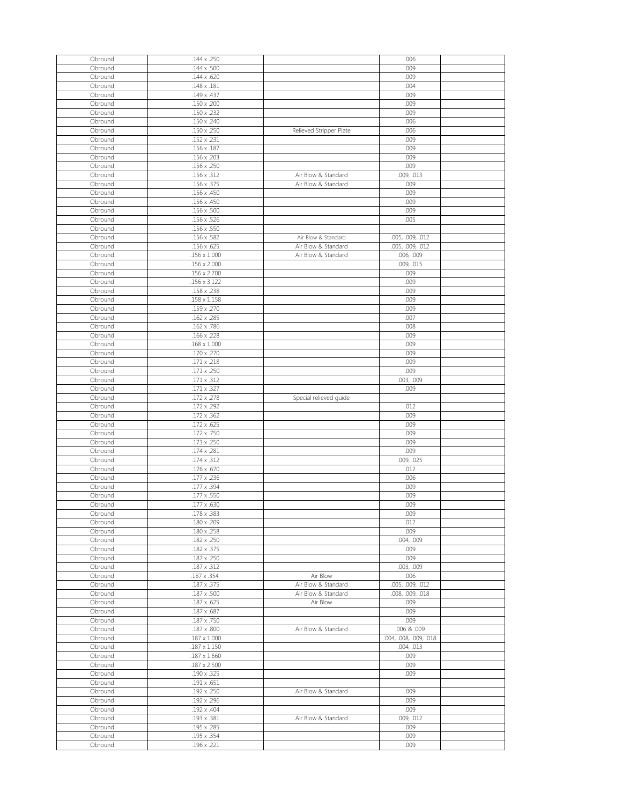| Obround            | .144 x .250                |                         | .006                   |  |
|--------------------|----------------------------|-------------------------|------------------------|--|
| Obround            | $.144 \times .500$         |                         | .009                   |  |
| Obround            | $.144 \times .620$         |                         | .009                   |  |
|                    |                            |                         |                        |  |
| Obround            | .148 x .181                |                         | .004                   |  |
| Obround            | .149 x .437                |                         | .009                   |  |
| Obround            | .150 x .200                |                         | .009                   |  |
| Obround            | .150 x .232                |                         | .009                   |  |
| Obround            | .150 x .240                |                         | .006                   |  |
| Obround            | .150 x .250                | Relieved Stripper Plate | .006                   |  |
| Obround            | .152 x .231                |                         | .009                   |  |
| Obround            | $.156 \times .187$         |                         | .009                   |  |
| Obround            | .156 x .203                |                         | .009                   |  |
| Obround            | .156 x .250                |                         | .009                   |  |
| Obround            | .156 x .312                | Air Blow & Standard     | .009, .013             |  |
| Obround            | .156 x .375                | Air Blow & Standard     | .009                   |  |
|                    |                            |                         |                        |  |
| Obround            | .156 x .450                |                         | .009                   |  |
| Obround            | .156 x .450                |                         | .009                   |  |
| Obround            | .156 x .500                |                         | .009                   |  |
| Obround            | .156 x .526                |                         | .005                   |  |
| Obround            | .156 x .550                |                         |                        |  |
| Obround            | .156 x .582                | Air Blow & Standard     | .005, .009, .012       |  |
| Obround            | .156 x .625                | Air Blow & Standard     | .005, .009, .012       |  |
| Obround            | $.156 \times 1.000$        | Air Blow & Standard     | .006, .009             |  |
| Obround            | $.156 \times 2.000$        |                         | .009, .015             |  |
| Obround            | .156 x 2.700               |                         | .009                   |  |
| Obround            | .156 x 3.122               |                         | .009                   |  |
| Obround            | .158 x .238                |                         | .009                   |  |
| Obround            | $.158 \times 1.158$        |                         | .009                   |  |
| Obround            | .159 x .270                |                         | .009                   |  |
| Obround            | .162 x .285                |                         | .007                   |  |
| Obround            | .162 x .786                |                         | .008                   |  |
| Obround            | .166 x .228                |                         | .009                   |  |
|                    |                            |                         |                        |  |
| Obround            | $.168 \times 1.000$        |                         | .009                   |  |
| Obround            | .170 x .270                |                         | .009                   |  |
| Obround            | .171 x .218                |                         | .009                   |  |
| Obround            | .171 x .250                |                         | .009                   |  |
| Obround            | $.171 \times .312$         |                         | .003, .009             |  |
| Obround            | .171 x .327                |                         | .009                   |  |
| Obround            | .172 x .278                | Special relieved guide  |                        |  |
| Obround            | .172 x .292                |                         | .012                   |  |
| Obround            | .172 x .362                |                         | .009                   |  |
| Obround            | .172 x .625                |                         | .009                   |  |
| Obround            | .172 x .750                |                         | .009                   |  |
| Obround            | .173 x .250                |                         | .009                   |  |
| Obround            | .174 x .281                |                         | .009                   |  |
|                    |                            |                         |                        |  |
|                    |                            |                         |                        |  |
| Obround            | .174 x .312                |                         | .009, .025             |  |
| Obround            | .176 x .670                |                         | .012                   |  |
| Obround            | .177 x .236                |                         | .006                   |  |
| Obround            | .177 x .394                |                         | .009                   |  |
| Obround            | $.177 \times .550$         |                         | .009                   |  |
| Obround            | .177 x .630                |                         | .009                   |  |
| Obround            | .178 x .383                |                         | .009                   |  |
| Obround            | .180 x .209                |                         | .012                   |  |
| Obround            | .180 x .258                |                         | .009                   |  |
| Obround            | .182 x .250                |                         | .004, .009             |  |
| Obround            | .182 x .375                |                         | .009                   |  |
| Obround            | .187 x .250                |                         | .009                   |  |
| Obround            | .187 x .312                |                         | .003, .009             |  |
| Obround            | .187 x .354                | Air Blow                | .006                   |  |
| Obround            | .187 x .375                | Air Blow & Standard     | .005, .009, .012       |  |
| Obround            | .187 x .500                | Air Blow & Standard     | .008, .009, .018       |  |
|                    | .187 x .625                | Air Blow                | .009                   |  |
| Obround            |                            |                         |                        |  |
| Obround<br>Obround | .187 x .687<br>.187 x .750 |                         | .009<br>.009           |  |
|                    |                            |                         |                        |  |
| Obround            | .187 x .800                | Air Blow & Standard     | 006. & 009.            |  |
| Obround            | $.187 \times 1.000$        |                         | .004, .008, .009, .018 |  |
| Obround            | $.187 \times 1.150$        |                         | .004, .013             |  |
| Obround            | $.187 \times 1.660$        |                         | .009                   |  |
| Obround            | .187 x 2.500               |                         | .009                   |  |
| Obround            | .190 x .325                |                         | .009                   |  |
| Obround            | .191 x .651                |                         |                        |  |
| Obround            | .192 x .250                | Air Blow & Standard     | .009                   |  |
| Obround            | .192 x .296                |                         | .009                   |  |
| Obround            | .192 x .404                |                         | .009                   |  |
| Obround            | .193 x .381                | Air Blow & Standard     | .009, .012             |  |
| Obround            | .195 x .285                |                         | .009                   |  |
| Obround<br>Obround | .195 x .354<br>.196 x .221 |                         | .009<br>.009           |  |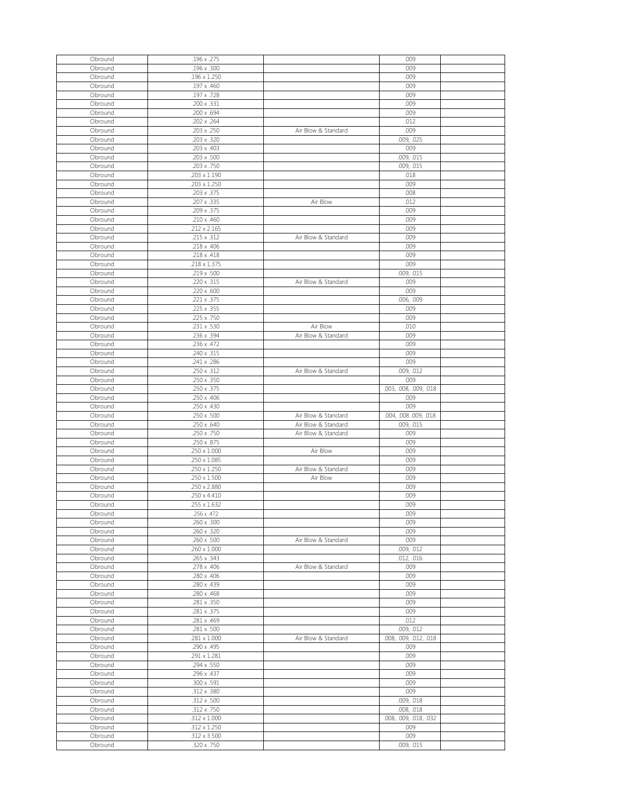| Obround | .196 x .275         |                     | .009                   |  |
|---------|---------------------|---------------------|------------------------|--|
| Obround | .196 x .300         |                     | .009                   |  |
| Obround | .196 x 1.250        |                     | .009                   |  |
|         |                     |                     |                        |  |
| Obround | .197 x .460         |                     | .009                   |  |
| Obround | .197 x .728         |                     | .009                   |  |
| Obround | .200 x .331         |                     | .009                   |  |
|         |                     |                     |                        |  |
| Obround | .200 x .694         |                     | .009                   |  |
| Obround | .202 x .264         |                     | .012                   |  |
| Obround | .203 x .250         | Air Blow & Standard | .009                   |  |
|         |                     |                     |                        |  |
| Obround | .203 x .320         |                     | .009, .025             |  |
| Obround | .203 x .403         |                     | .009                   |  |
| Obround | .203 x .500         |                     | .009, .015             |  |
|         |                     |                     |                        |  |
| Obround | .203 x .750         |                     | .009, .015             |  |
| Obround | $.203 \times 1.190$ |                     | .018                   |  |
|         |                     |                     |                        |  |
| Obround | .203 x 1.250        |                     | .009                   |  |
| Obround | .203 x .375         |                     | .008                   |  |
| Obround | .207 x .335         | Air Blow            | .012                   |  |
|         |                     |                     |                        |  |
| Obround | .209 x .375         |                     | .009                   |  |
| Obround | $.210 \times .460$  |                     | .009                   |  |
| Obround | .212 x 2.165        |                     | .009                   |  |
|         |                     |                     |                        |  |
| Obround | .215 x .312         | Air Blow & Standard | .009                   |  |
| Obround | .218 x .406         |                     | .009                   |  |
| Obround | .218 x .418         |                     | .009                   |  |
|         |                     |                     |                        |  |
| Obround | .218 x 1.375        |                     | .009                   |  |
| Obround | .219 x .500         |                     | .009, .015             |  |
| Obround | .220 x .315         | Air Blow & Standard | .009                   |  |
|         |                     |                     |                        |  |
| Obround | .220 x .600         |                     | .009                   |  |
| Obround | .221 x .375         |                     | .006, .009             |  |
| Obround | .225 x .355         |                     | .009                   |  |
|         |                     |                     |                        |  |
| Obround | .225 x .750         |                     | .009                   |  |
| Obround | .231 x .530         | Air Blow            | .010                   |  |
| Obround | .236 x .394         | Air Blow & Standard | .009                   |  |
|         |                     |                     |                        |  |
| Obround | .236 x .472         |                     | .009                   |  |
| Obround | .240 x .315         |                     | .009                   |  |
| Obround | .241 x .286         |                     | .009                   |  |
|         |                     |                     |                        |  |
| Obround | .250 x .312         | Air Blow & Standard | .009, .012             |  |
| Obround | .250 x .350         |                     | .009                   |  |
| Obround | .250 x .375         |                     | .003, .008, .009, .018 |  |
|         |                     |                     |                        |  |
| Obround | .250 x .406         |                     | .009                   |  |
|         |                     |                     |                        |  |
|         |                     |                     |                        |  |
| Obround | .250 x .430         |                     | .009                   |  |
| Obround | .250 x .500         | Air Blow & Standard | .004, .008 .009, .018  |  |
| Obround | .250 x .640         | Air Blow & Standard | .009, .015             |  |
|         |                     |                     |                        |  |
| Obround | .250 x .750         | Air Blow & Standard | .009                   |  |
| Obround | .250 x .875         |                     | .009                   |  |
| Obround | $.250 \times 1.000$ | Air Blow            | .009                   |  |
|         |                     |                     |                        |  |
| Obround | .250 x 1.085        |                     | .009                   |  |
| Obround | $.250 \times 1.250$ | Air Blow & Standard | .009                   |  |
| Obround | $.250 \times 1.500$ | Air Blow            | .009                   |  |
|         |                     |                     |                        |  |
| Obround | .250 x 2.880        |                     | .009                   |  |
| Obround | $.250 \times 4.410$ |                     | .009                   |  |
| Obround | .255 x 1.632        |                     | .009                   |  |
| Obround | .256 x .472         |                     | .009                   |  |
|         |                     |                     |                        |  |
| Obround | .260 x .300         |                     | .009                   |  |
| Obround | .260 x .320         |                     | .009                   |  |
| Obround | .260 x .500         | Air Blow & Standard | .009                   |  |
|         |                     |                     |                        |  |
| Obround | $.260 \times 1.000$ |                     | .009, .012             |  |
| Obround | .265 x .343         |                     | .012, .016             |  |
| Obround | .278 x .406         | Air Blow & Standard | .009                   |  |
| Obround |                     |                     |                        |  |
|         | .280 x .406         |                     | .009                   |  |
| Obround | .280 x .439         |                     | .009                   |  |
| Obround | .280 x .468         |                     | .009                   |  |
| Obround | .281 x .350         |                     | .009                   |  |
|         |                     |                     |                        |  |
| Obround | .281 x .375         |                     | .009                   |  |
| Obround | .281 x .469         |                     | .012                   |  |
| Obround | .281 x .500         |                     | .009, .012             |  |
|         |                     |                     |                        |  |
| Obround | $.281 \times 1.000$ | Air Blow & Standard | .008, .009, .012, .018 |  |
| Obround | .290 x .495         |                     | .009                   |  |
| Obround | .291 x 1.281        |                     | .009                   |  |
|         |                     |                     |                        |  |
| Obround | .294 x .550         |                     | .009                   |  |
| Obround | .296 x .437         |                     | .009                   |  |
| Obround | .300 x .591         |                     | .009                   |  |
|         |                     |                     |                        |  |
| Obround | .312 x .380         |                     | .009                   |  |
| Obround | .312 x .500         |                     | .009, .018             |  |
| Obround | $.312 \times .750$  |                     | .008, .018             |  |
|         |                     |                     |                        |  |
| Obround | $.312 \times 1.000$ |                     | .008, .009, .018, .032 |  |
| Obround | $.312 \times 1.250$ |                     | .009                   |  |
| Obround | .312 x 3.500        |                     | .009                   |  |
| Obround | .320 x .750         |                     | .009, .015             |  |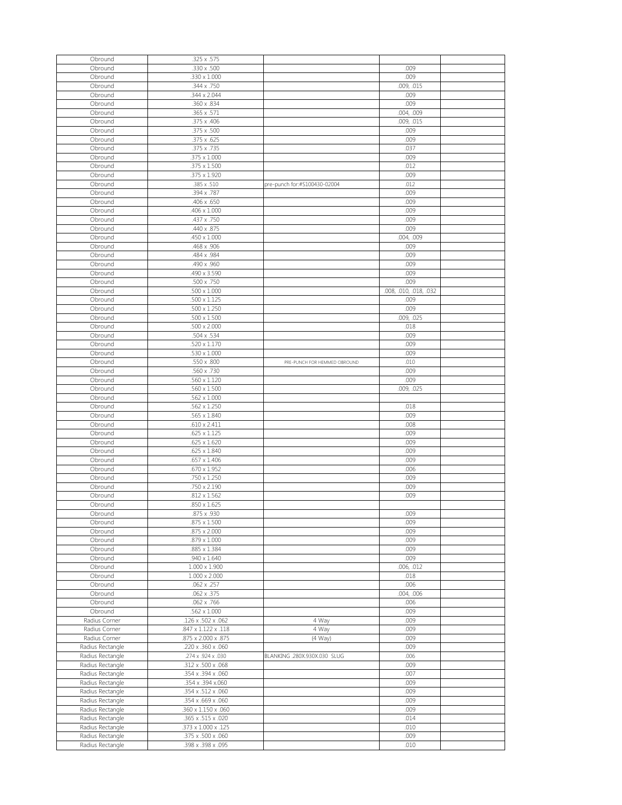| Obround                              | .325 x .575                              |                              |                        |  |
|--------------------------------------|------------------------------------------|------------------------------|------------------------|--|
| Obround                              | .330 x .500                              |                              | .009                   |  |
|                                      |                                          |                              | .009                   |  |
| Obround                              | $.330 \times 1.000$                      |                              |                        |  |
| Obround                              | .344 x .750                              |                              | .009, .015             |  |
| Obround                              | .344 x 2.044                             |                              | .009                   |  |
|                                      |                                          |                              | .009                   |  |
| Obround                              | .360 x .834                              |                              |                        |  |
| Obround                              | .365 x .571                              |                              | .004, .009             |  |
| Obround                              | .375 x .406                              |                              | .009, .015             |  |
|                                      |                                          |                              |                        |  |
| Obround                              | .375 x .500                              |                              | .009                   |  |
| Obround                              | .375 x .625                              |                              | .009                   |  |
| Obround                              | .375 x .735                              |                              | .037                   |  |
|                                      |                                          |                              |                        |  |
| Obround                              | .375 x 1.000                             |                              | .009                   |  |
| Obround                              | .375 x 1.500                             |                              | .012                   |  |
| Obround                              | .375 x 1.920                             |                              | .009                   |  |
|                                      |                                          |                              |                        |  |
| Obround                              | .385 x .510                              | pre-punch for:#S100430-02004 | .012                   |  |
| Obround                              | .394 x .787                              |                              | .009                   |  |
|                                      |                                          |                              |                        |  |
| Obround                              | .406 x .650                              |                              | .009                   |  |
| Obround                              | .406 x 1.000                             |                              | .009                   |  |
| Obround                              | .437 x .750                              |                              | .009                   |  |
|                                      |                                          |                              |                        |  |
| Obround                              | .440 x .875                              |                              | .009                   |  |
| Obround                              | $.450 \times 1.000$                      |                              | .004, .009             |  |
| Obround                              | .468 x .906                              |                              | .009                   |  |
|                                      |                                          |                              |                        |  |
| Obround                              | .484 x .984                              |                              | .009                   |  |
| Obround                              | .490 x .960                              |                              | .009                   |  |
|                                      |                                          |                              |                        |  |
| Obround                              | .490 x 3.590                             |                              | .009                   |  |
| Obround                              | .500 x .750                              |                              | .009                   |  |
| Obround                              | $.500 \times 1.000$                      |                              | .008, .010, .018, .032 |  |
|                                      |                                          |                              |                        |  |
| Obround                              | $.500 \times 1.125$                      |                              | .009                   |  |
| Obround                              | $.500 \times 1.250$                      |                              | .009                   |  |
| Obround                              | $.500 \times 1.500$                      |                              | .009, .025             |  |
|                                      |                                          |                              |                        |  |
| Obround                              | $.500 \times 2.000$                      |                              | .018                   |  |
| Obround                              | .504 x .534                              |                              | .009                   |  |
|                                      |                                          |                              |                        |  |
| Obround                              | .520 x 1.170                             |                              | .009                   |  |
| Obround                              | $.530 \times 1.000$                      |                              | .009                   |  |
| Obround                              | .550 x .800                              | PRE-PUNCH FOR HEMMED OBROUND | .010                   |  |
|                                      |                                          |                              |                        |  |
| Obround                              | .560 x .730                              |                              | .009                   |  |
| Obround                              | .560 x 1.120                             |                              | .009                   |  |
| Obround                              | $.560 \times 1.500$                      |                              | .009, .025             |  |
|                                      |                                          |                              |                        |  |
| Obround                              | $.562 \times 1.000$                      |                              |                        |  |
| Obround                              | .562 x 1.250                             |                              | .018                   |  |
|                                      |                                          |                              |                        |  |
| Obround                              | .565 x 1.840                             |                              | .009                   |  |
| Obround                              | $.610 \times 2.411$                      |                              | .008                   |  |
| Obround                              | $.625 \times 1.125$                      |                              | .009                   |  |
|                                      |                                          |                              |                        |  |
| Obround                              | $.625 \times 1.620$                      |                              | .009                   |  |
| Obround                              | $.625 \times 1.840$                      |                              | .009                   |  |
| Obround                              | $.657 \times 1.406$                      |                              | .009                   |  |
|                                      |                                          |                              |                        |  |
| Obround                              | $.670 \times 1.952$                      |                              | .006                   |  |
| Obround                              | .750 x 1.250                             |                              | .009                   |  |
|                                      |                                          |                              |                        |  |
| Obround                              | .750 x 2.190                             |                              | .009                   |  |
| Obround                              | $.812 \times 1.562$                      |                              | .009                   |  |
| Obround                              | $.850 \times 1.625$                      |                              |                        |  |
|                                      |                                          |                              |                        |  |
| Obround                              | .875 x .930                              |                              | .009                   |  |
| Obround                              | $.875 \times 1.500$                      |                              | .009                   |  |
| Obround                              | .875 x 2.000                             |                              | .009                   |  |
|                                      |                                          |                              |                        |  |
| Obround                              | $.879 \times 1.000$                      |                              | .009                   |  |
| Obround                              | .885 x 1.384                             |                              | .009                   |  |
| Obround                              | .940 x 1.640                             |                              | .009                   |  |
|                                      |                                          |                              |                        |  |
| Obround                              | $1.000 \times 1.900$                     |                              | .006, .012             |  |
| Obround                              | $1.000 \times 2.000$                     |                              | .018                   |  |
| Obround                              | .062 x .257                              |                              | .006                   |  |
|                                      | $.062 \times .375$                       |                              | .004, .006             |  |
| Obround                              |                                          |                              |                        |  |
| Obround                              | .062 x .766                              |                              | .006                   |  |
| Obround                              |                                          |                              | .009                   |  |
|                                      |                                          |                              |                        |  |
| Radius Corner                        | $.562 \times 1.000$                      |                              |                        |  |
|                                      | .126 x .502 x .062                       | 4 Way                        | .009                   |  |
| Radius Corner                        | .847 x 1.122 x .118                      | 4 Way                        | .009                   |  |
|                                      |                                          |                              |                        |  |
| Radius Corner                        | .875 x 2.000 x .875                      | $(4$ Way)                    | .009                   |  |
| Radius Rectangle                     | .220 x .360 x .060                       |                              | .009                   |  |
| Radius Rectangle                     | .274 x .924 x .030                       | BLANKING .280X.930X.030 SLUG | .006                   |  |
|                                      |                                          |                              |                        |  |
| Radius Rectangle                     | .312 x .500 x .068                       |                              | .009                   |  |
| Radius Rectangle                     | .354 x .394 x .060                       |                              | .007                   |  |
|                                      | .354 x.394 x.060                         |                              | .009                   |  |
| Radius Rectangle                     |                                          |                              |                        |  |
| Radius Rectangle                     | .354 x .512 x .060                       |                              | .009                   |  |
| Radius Rectangle                     | .354 x .669 x .060                       |                              | .009                   |  |
|                                      |                                          |                              | .009                   |  |
| Radius Rectangle                     | .360 x 1.150 x .060                      |                              |                        |  |
| Radius Rectangle                     | .365 x .515 x .020                       |                              | .014                   |  |
| Radius Rectangle                     | .373 x 1.000 x .125                      |                              | .010                   |  |
|                                      |                                          |                              |                        |  |
| Radius Rectangle<br>Radius Rectangle | .375 x .500 x .060<br>.398 x .398 x .095 |                              | .009<br>.010           |  |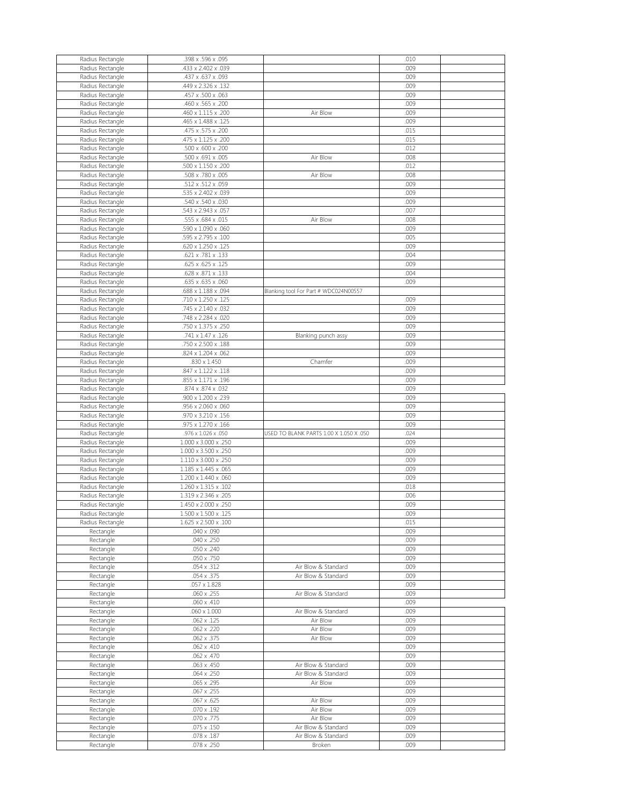| Radius Rectangle | .398 x .596 x .095   |                                         | .010 |  |
|------------------|----------------------|-----------------------------------------|------|--|
| Radius Rectangle | .433 x 2.402 x .039  |                                         | .009 |  |
| Radius Rectangle | .437 x .637 x .093   |                                         | .009 |  |
| Radius Rectangle | .449 x 2.326 x .132  |                                         | .009 |  |
| Radius Rectangle | .457 x .500 x .063   |                                         | .009 |  |
|                  | .460 x .565 x .200   |                                         | .009 |  |
| Radius Rectangle |                      |                                         |      |  |
| Radius Rectangle | .460 x 1.115 x .200  | Air Blow                                | .009 |  |
| Radius Rectangle | .465 x 1.488 x .125  |                                         | .009 |  |
| Radius Rectangle | .475 x .575 x .200   |                                         | .015 |  |
| Radius Rectangle | .475 x 1.125 x .200  |                                         | .015 |  |
| Radius Rectangle | .500 x .600 x .200   |                                         | .012 |  |
| Radius Rectangle | .500 x .691 x .005   | Air Blow                                | .008 |  |
| Radius Rectangle | .500 x 1.150 x .200  |                                         | .012 |  |
|                  | .508 x .780 x .005   | Air Blow                                | .008 |  |
| Radius Rectangle |                      |                                         |      |  |
| Radius Rectangle | .512 x .512 x .059   |                                         | .009 |  |
| Radius Rectangle | 535 x 2.402 x .039   |                                         | .009 |  |
| Radius Rectangle | .540 x .540 x .030   |                                         | .009 |  |
| Radius Rectangle | .543 x 2.943 x .057  |                                         | .007 |  |
| Radius Rectangle | .555 x .684 x .015   | Air Blow                                | .008 |  |
| Radius Rectangle | .590 x 1.090 x .060  |                                         | .009 |  |
| Radius Rectangle | .595 x 2.795 x .100  |                                         | .005 |  |
|                  | .620 x 1.250 x .125  |                                         | .009 |  |
| Radius Rectangle |                      |                                         |      |  |
| Radius Rectangle | .621 x .781 x .133   |                                         | .004 |  |
| Radius Rectangle | .625 x .625 x .125   |                                         | .009 |  |
| Radius Rectangle | .628 x .871 x .133   |                                         | .004 |  |
| Radius Rectangle | .635 x .635 x .060   |                                         | .009 |  |
| Radius Rectangle | .688 x 1.188 x .094  | Blanking tool For Part # WDC024N00557   |      |  |
| Radius Rectangle | .710 x 1.250 x .125  |                                         | .009 |  |
| Radius Rectangle | .745 x 2.140 x .032  |                                         | .009 |  |
|                  | .748 x 2.284 x .020  |                                         | .009 |  |
| Radius Rectangle |                      |                                         |      |  |
| Radius Rectangle | .750 x 1.375 x .250  |                                         | .009 |  |
| Radius Rectangle | .741 x 1.47 x .126   | Blanking punch assy                     | .009 |  |
| Radius Rectangle | .750 x 2.500 x .188  |                                         | .009 |  |
| Radius Rectangle | .824 x 1.204 x .062  |                                         | .009 |  |
| Radius Rectangle | $.830 \times 1.450$  | Chamfer                                 | .009 |  |
| Radius Rectangle | .847 x 1.122 x .118  |                                         | .009 |  |
| Radius Rectangle | .855 x 1.171 x .196  |                                         | .009 |  |
|                  | .874 x .874 x .032   |                                         | .009 |  |
| Radius Rectangle |                      |                                         |      |  |
| Radius Rectangle | .900 x 1.200 x .239  |                                         | .009 |  |
| Radius Rectangle | .956 x 2.060 x .060  |                                         | .009 |  |
| Radius Rectangle | .970 x 3.210 x .156  |                                         | .009 |  |
| Radius Rectangle | .975 x 1.270 x .166  |                                         | .009 |  |
|                  | .976 x 1.026 x .050  | USED TO BLANK PARTS 1.00 X 1.050 X .050 | .024 |  |
| Radius Rectangle |                      |                                         | .009 |  |
|                  |                      |                                         |      |  |
| Radius Rectangle | 1.000 x 3.000 x .250 |                                         |      |  |
| Radius Rectangle | 1.000 x 3.500 x .250 |                                         | .009 |  |
| Radius Rectangle | 1.110 x 3.000 x .250 |                                         | .009 |  |
| Radius Rectangle | 1.185 x 1.445 x .065 |                                         | .009 |  |
| Radius Rectangle | 1.200 x 1.440 x .060 |                                         | .009 |  |
| Radius Rectangle | 1.260 x 1.315 x .102 |                                         | .018 |  |
| Radius Rectangle | 1.319 x 2.346 x .205 |                                         | .006 |  |
| Radius Rectangle | 1.450 x 2.000 x .250 |                                         | .009 |  |
| Radius Rectangle | 1.500 x 1.500 x .125 |                                         | .009 |  |
| Radius Rectangle | 1.625 x 2.500 x .100 |                                         | .015 |  |
|                  |                      |                                         |      |  |
| Rectangle        | .040 x .090          |                                         | .009 |  |
| Rectangle        | $.040 \times .250$   |                                         | .009 |  |
| Rectangle        | .050 x .240          |                                         | .009 |  |
| Rectangle        | .050 x .750          |                                         | .009 |  |
| Rectangle        | .054 x .312          | Air Blow & Standard                     | .009 |  |
| Rectangle        | .054 x .375          | Air Blow & Standard                     | .009 |  |
| Rectangle        | $.057 \times 1.828$  |                                         | .009 |  |
| Rectangle        | $.060 \times .255$   | Air Blow & Standard                     | .009 |  |
|                  | $.060 \times .410$   |                                         | .009 |  |
| Rectangle        |                      |                                         |      |  |
| Rectangle        | $.060 \times 1.000$  | Air Blow & Standard                     | .009 |  |
| Rectangle        | $.062 \times .125$   | Air Blow                                | .009 |  |
| Rectangle        | $.062 \times .220$   | Air Blow                                | .009 |  |
| Rectangle        | .062 x .375          | Air Blow                                | .009 |  |
| Rectangle        | $.062 \times .410$   |                                         | .009 |  |
| Rectangle        | $.062 \times .470$   |                                         | .009 |  |
| Rectangle        | $.063 \times .450$   | Air Blow & Standard                     | .009 |  |
| Rectangle        | $.064 \times .250$   | Air Blow & Standard                     | .009 |  |
|                  | .065 x .295          | Air Blow                                | .009 |  |
| Rectangle        |                      |                                         |      |  |
| Rectangle        | $.067 \times .255$   |                                         | .009 |  |
| Rectangle        | $.067 \times .625$   | Air Blow                                | .009 |  |
| Rectangle        | $.070 \times .192$   | Air Blow                                | .009 |  |
| Rectangle        | .070 x .775          | Air Blow                                | .009 |  |
| Rectangle        | $.075 \times .150$   | Air Blow & Standard                     | .009 |  |
| Rectangle        | $.078 \times .187$   | Air Blow & Standard                     | .009 |  |
| Rectangle        | $.078 \times .250$   | <b>Broken</b>                           | .009 |  |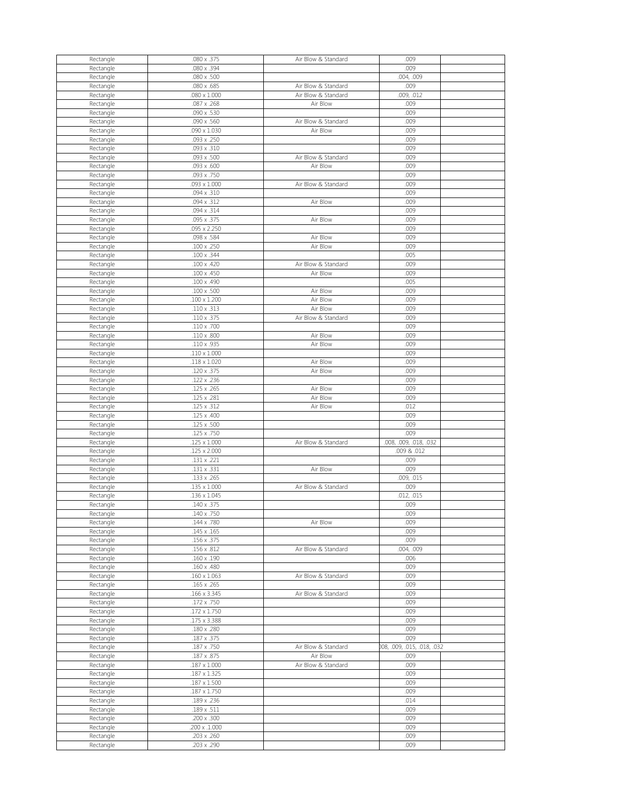| Rectangle | .080 x .375         | Air Blow & Standard | .009                        |  |
|-----------|---------------------|---------------------|-----------------------------|--|
|           |                     |                     |                             |  |
| Rectangle | .080 x .394         |                     | .009                        |  |
| Rectangle | .080 x .500         |                     | .004, .009                  |  |
| Rectangle | .080 x .685         | Air Blow & Standard | .009                        |  |
| Rectangle | $.080 \times 1.000$ | Air Blow & Standard | .009, .012                  |  |
|           | .087 x .268         | Air Blow            | .009                        |  |
| Rectangle |                     |                     |                             |  |
| Rectangle | .090 x .530         |                     | .009                        |  |
| Rectangle | .090 x .560         | Air Blow & Standard | .009                        |  |
| Rectangle | $.090 \times 1.030$ | Air Blow            | .009                        |  |
| Rectangle | .093 x .250         |                     | .009                        |  |
|           |                     |                     |                             |  |
| Rectangle | .093 x .310         |                     | .009                        |  |
| Rectangle | .093 x .500         | Air Blow & Standard | .009                        |  |
| Rectangle | .093 x .600         | Air Blow            | .009                        |  |
| Rectangle | .093 x .750         |                     | .009                        |  |
| Rectangle | $.093 \times 1.000$ | Air Blow & Standard | .009                        |  |
|           |                     |                     |                             |  |
| Rectangle | .094 x .310         |                     | .009                        |  |
| Rectangle | .094 x .312         | Air Blow            | .009                        |  |
| Rectangle | .094 x .314         |                     | .009                        |  |
| Rectangle | .095 x .375         | Air Blow            | .009                        |  |
|           | .095 x 2.250        |                     | .009                        |  |
| Rectangle |                     |                     |                             |  |
| Rectangle | .098 x .584         | Air Blow            | .009                        |  |
| Rectangle | .100 x .250         | Air Blow            | .009                        |  |
| Rectangle | .100 x .344         |                     | .005                        |  |
| Rectangle | .100 x .420         | Air Blow & Standard | .009                        |  |
|           |                     |                     |                             |  |
| Rectangle | $.100 \times .450$  | Air Blow            | .009                        |  |
| Rectangle | .100 x .490         |                     | .005                        |  |
| Rectangle | $.100 \times .500$  | Air Blow            | .009                        |  |
| Rectangle | $.100 \times 1.200$ | Air Blow            | .009                        |  |
|           |                     |                     |                             |  |
| Rectangle | $.110 \times .313$  | Air Blow            | .009                        |  |
| Rectangle | $.110 \times .375$  | Air Blow & Standard | .009                        |  |
| Rectangle | .110 x .700         |                     | .009                        |  |
| Rectangle | $.110 \times .800$  | Air Blow            | .009                        |  |
| Rectangle | .110 x .935         | Air Blow            | .009                        |  |
|           |                     |                     |                             |  |
| Rectangle | $.110 \times 1.000$ |                     | .009                        |  |
| Rectangle | $.118 \times 1.020$ | Air Blow            | .009                        |  |
| Rectangle | .120 x .375         | Air Blow            | .009                        |  |
| Rectangle | .122 x .236         |                     | .009                        |  |
| Rectangle | .125 x .265         | Air Blow            | .009                        |  |
|           |                     | Air Blow            |                             |  |
| Rectangle | .125 x .281         |                     | .009                        |  |
|           |                     |                     |                             |  |
| Rectangle | $.125 \times .312$  | Air Blow            | .012                        |  |
| Rectangle | .125 x .400         |                     | .009                        |  |
|           |                     |                     |                             |  |
| Rectangle | .125 x .500         |                     | .009                        |  |
| Rectangle | .125 x .750         |                     | .009                        |  |
| Rectangle | $.125 \times 1.000$ | Air Blow & Standard | .008, .009, .018, .032      |  |
| Rectangle | $.125 \times 2.000$ |                     | .009 & .012                 |  |
| Rectangle | .131 x .221         |                     | .009                        |  |
|           |                     |                     |                             |  |
| Rectangle | .131 x .331         | Air Blow            | .009                        |  |
| Rectangle | .133 x .265         |                     | .009, .015                  |  |
| Rectangle | $.135 \times 1.000$ | Air Blow & Standard | .009                        |  |
| Rectangle | .136 x 1.045        |                     | .012, .015                  |  |
| Rectangle | .140 x .375         |                     | .009                        |  |
|           |                     |                     |                             |  |
| Rectangle | .140 x .750         |                     | .009                        |  |
| Rectangle | .144 x .780         | Air Blow            | .009                        |  |
| Rectangle | $.145 \times .165$  |                     | .009                        |  |
| Rectangle | .156 x .375         |                     | .009                        |  |
| Rectangle | .156 x .812         | Air Blow & Standard | .004, .009                  |  |
| Rectangle | $.160 \times .190$  |                     | .006                        |  |
|           |                     |                     |                             |  |
| Rectangle | .160 x .480         |                     | .009                        |  |
| Rectangle | $.160 \times 1.063$ | Air Blow & Standard | .009                        |  |
| Rectangle | .165 x .265         |                     | .009                        |  |
| Rectangle | .166 x 3.345        | Air Blow & Standard | .009                        |  |
|           | .172 x .750         |                     | .009                        |  |
| Rectangle |                     |                     |                             |  |
| Rectangle | $.172 \times 1.750$ |                     | .009                        |  |
| Rectangle | .175 x 3.388        |                     | .009                        |  |
| Rectangle | .180 x .280         |                     | .009                        |  |
| Rectangle | .187 x .375         |                     | .009                        |  |
| Rectangle | .187 x .750         | Air Blow & Standard | 008, .009, .015, .018, .032 |  |
|           | .187 x .875         | Air Blow            | .009                        |  |
| Rectangle |                     |                     |                             |  |
| Rectangle | $.187 \times 1.000$ | Air Blow & Standard | .009                        |  |
| Rectangle | $.187 \times 1.325$ |                     | .009                        |  |
| Rectangle | $.187 \times 1.500$ |                     | .009                        |  |
| Rectangle | $.187 \times 1.750$ |                     | .009                        |  |
|           | .189 x .236         |                     | .014                        |  |
| Rectangle |                     |                     |                             |  |
| Rectangle | .189 x .511         |                     | .009                        |  |
| Rectangle | .200 x .300         |                     | .009                        |  |
| Rectangle | .200 x .1.000       |                     | .009                        |  |
| Rectangle | .203 x .260         |                     | .009                        |  |
| Rectangle | .203 x .290         |                     | .009                        |  |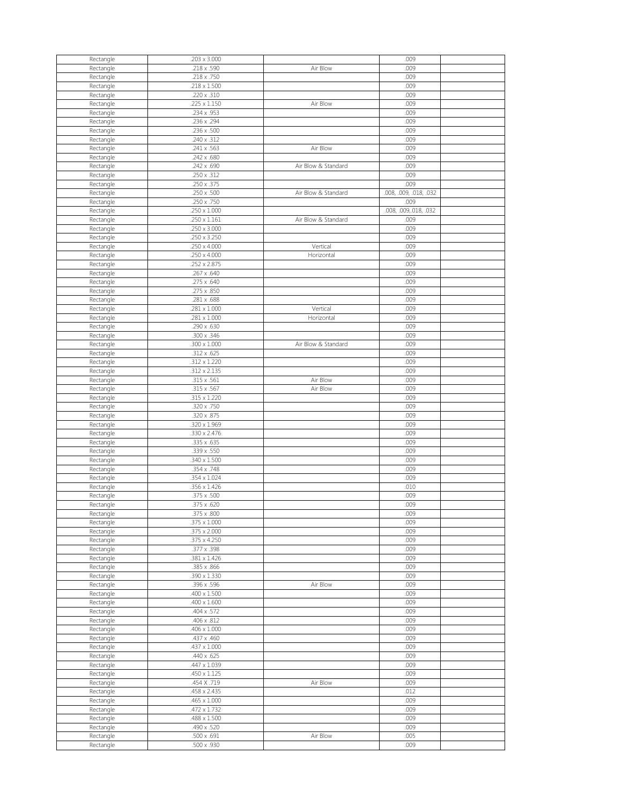| Rectangle              | .203 x 3.000                      |                     | .009                   |  |
|------------------------|-----------------------------------|---------------------|------------------------|--|
| Rectangle              | .218 x .590                       | Air Blow            | .009                   |  |
| Rectangle              | .218 x .750                       |                     | .009                   |  |
|                        |                                   |                     |                        |  |
| Rectangle              | $.218 \times 1.500$               |                     | .009                   |  |
| Rectangle              | .220 x .310                       |                     | .009                   |  |
| Rectangle              | .225 x 1.150                      | Air Blow            | .009                   |  |
| Rectangle              | .234 x .953                       |                     | .009                   |  |
| Rectangle              | .236 x .294                       |                     | .009                   |  |
|                        |                                   |                     |                        |  |
| Rectangle              | .236 x .500                       |                     | .009                   |  |
| Rectangle              | .240 x .312                       |                     | .009                   |  |
| Rectangle              | .241 x .563                       | Air Blow            | .009                   |  |
| Rectangle              | .242 x .680                       |                     | .009                   |  |
|                        | .242 x .690                       | Air Blow & Standard | .009                   |  |
| Rectangle              |                                   |                     |                        |  |
| Rectangle              | .250 x .312                       |                     | .009                   |  |
| Rectangle              | .250 x .375                       |                     | .009                   |  |
| Rectangle              | .250 x .500                       | Air Blow & Standard | .008, .009, .018, .032 |  |
| Rectangle              | .250 x .750                       |                     | .009                   |  |
|                        |                                   |                     |                        |  |
| Rectangle              | $.250 \times 1.000$               |                     | .008, .009, .018, .032 |  |
| Rectangle              | $.250 \times 1.161$               | Air Blow & Standard | .009                   |  |
| Rectangle              | $.250 \times 3.000$               |                     | .009                   |  |
| Rectangle              | .250 x 3.250                      |                     | .009                   |  |
|                        | $.250 \times 4.000$               | Vertical            | .009                   |  |
| Rectangle              |                                   |                     |                        |  |
| Rectangle              | $.250 \times 4.000$               | Horizontal          | .009                   |  |
| Rectangle              | .252 x 2.875                      |                     | .009                   |  |
| Rectangle              | .267 x .640                       |                     | .009                   |  |
| Rectangle              | .275 x .640                       |                     | .009                   |  |
|                        |                                   |                     | .009                   |  |
| Rectangle              | .275 x .850                       |                     |                        |  |
| Rectangle              | .281 x .688                       |                     | .009                   |  |
| Rectangle              | $.281 \times 1.000$               | Vertical            | .009                   |  |
| Rectangle              | .281 x 1.000                      | Horizontal          | .009                   |  |
| Rectangle              | .290 x .630                       |                     | .009                   |  |
|                        |                                   |                     |                        |  |
| Rectangle              | .300 x .346                       |                     | .009                   |  |
| Rectangle              | $.300 \times 1.000$               | Air Blow & Standard | .009                   |  |
| Rectangle              | $.312 \times .625$                |                     | .009                   |  |
| Rectangle              | .312 x 1.220                      |                     | .009                   |  |
| Rectangle              | .312 x 2.135                      |                     | .009                   |  |
|                        |                                   |                     |                        |  |
| Rectangle              | .315 x .561                       | Air Blow            | .009                   |  |
| Rectangle              | .315 x .567                       | Air Blow            | .009                   |  |
| Rectangle              | .315 x 1.220                      |                     | .009                   |  |
| Rectangle              | .320 x .750                       |                     | .009                   |  |
|                        | .320 x .875                       |                     | .009                   |  |
| Rectangle              |                                   |                     |                        |  |
| Rectangle              | .320 x 1.969                      |                     | .009                   |  |
| Rectangle              | .330 x 2.476                      |                     | .009                   |  |
| Rectangle              | .335 x .635                       |                     | .009                   |  |
| Rectangle              | .339 x .550                       |                     | .009                   |  |
|                        | .340 x 1.500                      |                     | .009                   |  |
| Rectangle              |                                   |                     |                        |  |
| Rectangle              | .354 x .748                       |                     | .009                   |  |
| Rectangle              | .354 x 1.024                      |                     | .009                   |  |
| Rectangle              | .356 x 1.426                      |                     | .010                   |  |
| Rectangle              | .375 x .500                       |                     | .009                   |  |
| Rectangle              | .375 x .620                       |                     | .009                   |  |
|                        |                                   |                     |                        |  |
| Rectangle              | .375 x .800                       |                     | .009                   |  |
| Rectangle              | .375 x 1.000                      |                     | .009                   |  |
| Rectangle              | .375 x 2.000                      |                     | .009                   |  |
| Rectangle              | .375 x 4.250                      |                     | .009                   |  |
| Rectangle              | .377 x .398                       |                     |                        |  |
|                        |                                   |                     |                        |  |
|                        |                                   |                     | .009                   |  |
| Rectangle              | .381 x 1.426                      |                     | .009                   |  |
| Rectangle              | .385 x .866                       |                     | .009                   |  |
| Rectangle              | .390 x 1.330                      |                     | .009                   |  |
|                        |                                   |                     |                        |  |
| Rectangle              | .396 x .596                       | Air Blow            | .009                   |  |
| Rectangle              | $.400 \times 1.500$               |                     | .009                   |  |
| Rectangle              | $.400 \times 1.600$               |                     | .009                   |  |
| Rectangle              | .404 x .572                       |                     | .009                   |  |
| Rectangle              | .406 x .812                       |                     | .009                   |  |
| Rectangle              | $.406 \times 1.000$               |                     | .009                   |  |
|                        |                                   |                     |                        |  |
| Rectangle              | .437 x .460                       |                     | .009                   |  |
| Rectangle              | $.437 \times 1.000$               |                     | .009                   |  |
| Rectangle              | .440 x .625                       |                     | .009                   |  |
| Rectangle              | .447 x 1.039                      |                     | .009                   |  |
| Rectangle              | .450 x 1.125                      |                     | .009                   |  |
|                        |                                   |                     |                        |  |
| Rectangle              | .454 X .719                       | Air Blow            | .009                   |  |
| Rectangle              | .458 x 2.435                      |                     | .012                   |  |
| Rectangle              | $.465 \times 1.000$               |                     | .009                   |  |
| Rectangle              | .472 x 1.732                      |                     | .009                   |  |
| Rectangle              | .488 x 1.500                      |                     | .009                   |  |
| Rectangle              | .490 x .520                       |                     | .009                   |  |
|                        |                                   |                     |                        |  |
| Rectangle<br>Rectangle | $.500 \times .691$<br>.500 x .930 | Air Blow            | .005<br>.009           |  |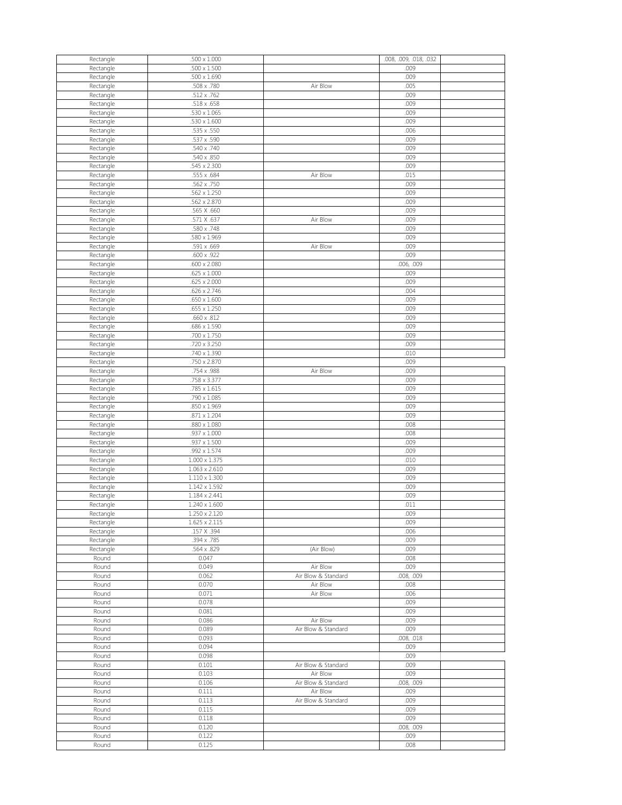| Rectangle              | $.500 \times 1.000$                   |                     | .008, .009, .018, .032 |  |
|------------------------|---------------------------------------|---------------------|------------------------|--|
| Rectangle              | $.500 \times 1.500$                   |                     | .009                   |  |
| Rectangle              | $.500 \times 1.690$                   |                     | .009                   |  |
| Rectangle              | .508 x .780                           | Air Blow            | .005                   |  |
| Rectangle              | .512 x .762                           |                     | .009                   |  |
| Rectangle              | .518 x .658<br>$.530 \times 1.065$    |                     | .009<br>.009           |  |
| Rectangle<br>Rectangle | $.530 \times 1.600$                   |                     | .009                   |  |
| Rectangle              | .535 x .550                           |                     | .006                   |  |
| Rectangle              | .537 x .590                           |                     | .009                   |  |
| Rectangle              | .540 x .740                           |                     | .009                   |  |
| Rectangle              | .540 x .850                           |                     | .009                   |  |
| Rectangle              | .545 x 2.300                          |                     | .009                   |  |
| Rectangle              | .555 x .684                           | Air Blow            | .015                   |  |
| Rectangle              | .562 x .750                           |                     | .009                   |  |
| Rectangle              | .562 x 1.250                          |                     | .009                   |  |
| Rectangle              | .562 x 2.870                          |                     | .009                   |  |
| Rectangle              | .565 X .660                           |                     | .009                   |  |
| Rectangle              | .571 X .637                           | Air Blow            | .009                   |  |
| Rectangle              | .580 x .748                           |                     | .009                   |  |
| Rectangle              | .580 x 1.969                          |                     | .009                   |  |
| Rectangle              | .591 x .669<br>.600 x .922            | Air Blow            | .009<br>.009           |  |
| Rectangle<br>Rectangle | $.600 \times 2.080$                   |                     | .006, .009             |  |
| Rectangle              | $.625 \times 1.000$                   |                     | .009                   |  |
| Rectangle              | $.625 \times 2.000$                   |                     | .009                   |  |
| Rectangle              | .626 x 2.746                          |                     | .004                   |  |
| Rectangle              | $.650 \times 1.600$                   |                     | .009                   |  |
| Rectangle              | $.655 \times 1.250$                   |                     | .009                   |  |
| Rectangle              | $.660 \times .812$                    |                     | .009                   |  |
| Rectangle              | $.686 \times 1.590$                   |                     | .009                   |  |
| Rectangle              | .700 x 1.750                          |                     | .009                   |  |
| Rectangle              | .720 x 3.250                          |                     | .009                   |  |
| Rectangle              | .740 x 1.390                          |                     | .010                   |  |
| Rectangle              | .750 x 2.870                          |                     | .009                   |  |
| Rectangle              | .754 x .988                           | Air Blow            | .009<br>.009           |  |
| Rectangle              | .758 x 3.377<br>.785 x 1.615          |                     | .009                   |  |
| Rectangle<br>Rectangle | $.790 \times 1.085$                   |                     | .009                   |  |
| Rectangle              | .850 x 1.969                          |                     | .009                   |  |
| Rectangle              | $.871 \times 1.204$                   |                     | .009                   |  |
| Rectangle              | $.880 \times 1.080$                   |                     | .008                   |  |
| Rectangle              | $.937 \times 1.000$                   |                     | .008                   |  |
| Rectangle              | $.937 \times 1.500$                   |                     | .009                   |  |
| Rectangle              | $.992 \times 1.574$                   |                     | .009                   |  |
| Rectangle              | $1.000 \times 1.375$                  |                     | .010                   |  |
| Rectangle              | $1.063 \times 2.610$                  |                     | .009                   |  |
| Rectangle              | $1.110 \times 1.300$                  |                     | .009                   |  |
| Rectangle              | $1.142 \times 1.592$                  |                     | .009                   |  |
| Rectangle              | 1.184 x 2.441                         |                     | .009                   |  |
| Rectangle              | 1.240 x 1.600                         |                     | .011                   |  |
| Rectangle              | $1.250 \times 2.120$<br>1.625 x 2.115 |                     | .009<br>.009           |  |
| Rectangle<br>Rectangle | .157 X .394                           |                     | .006                   |  |
| Rectangle              | .394 x .785                           |                     | .009                   |  |
| Rectangle              | .564 x .829                           | (Air Blow)          | .009                   |  |
| Round                  | 0.047                                 |                     | .008                   |  |
| Round                  | 0.049                                 | Air Blow            | .009                   |  |
| Round                  | 0.062                                 | Air Blow & Standard | .008, .009             |  |
| Round                  | 0.070                                 | Air Blow            | .008                   |  |
| Round                  | 0.071                                 | Air Blow            | .006                   |  |
| Round                  | 0.078                                 |                     | .009                   |  |
| Round                  | 0.081                                 |                     | .009                   |  |
| Round                  | 0.086                                 | Air Blow            | .009                   |  |
| Round                  | 0.089                                 | Air Blow & Standard | .009                   |  |
| Round                  | 0.093                                 |                     | .008, .018             |  |
| Round                  | 0.094                                 |                     | .009                   |  |
| Round<br>Round         | 0.098<br>0.101                        | Air Blow & Standard | .009<br>.009           |  |
| Round                  | 0.103                                 | Air Blow            | .009                   |  |
| Round                  | 0.106                                 | Air Blow & Standard | .008, .009             |  |
| Round                  | 0.111                                 | Air Blow            | .009                   |  |
| Round                  | 0.113                                 | Air Blow & Standard | .009                   |  |
| Round                  | 0.115                                 |                     | .009                   |  |
| Round                  | 0.118                                 |                     | .009                   |  |
| Round                  | 0.120                                 |                     | .008, .009             |  |
| Round                  | 0.122                                 |                     | .009                   |  |
| Round                  | 0.125                                 |                     | .008                   |  |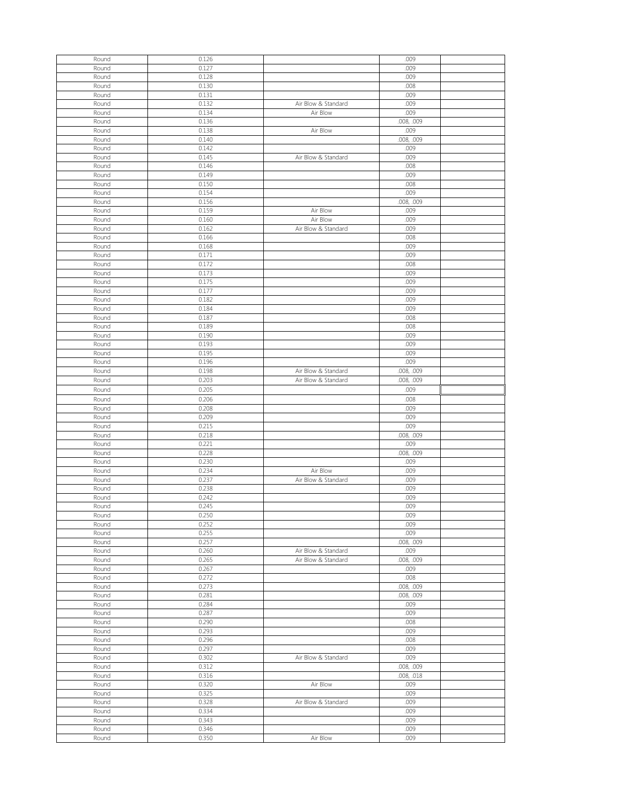| Round | 0.126 |                     | .009       |  |
|-------|-------|---------------------|------------|--|
|       |       |                     |            |  |
| Round | 0.127 |                     | .009       |  |
| Round | 0.128 |                     | .009       |  |
| Round | 0.130 |                     | .008       |  |
| Round | 0.131 |                     | .009       |  |
|       |       |                     |            |  |
| Round | 0.132 | Air Blow & Standard | .009       |  |
| Round | 0.134 | Air Blow            | .009       |  |
| Round | 0.136 |                     | .008, .009 |  |
| Round | 0.138 | Air Blow            | .009       |  |
| Round | 0.140 |                     | .008, .009 |  |
|       |       |                     |            |  |
| Round | 0.142 |                     | .009       |  |
| Round | 0.145 | Air Blow & Standard | .009       |  |
| Round | 0.146 |                     | .008       |  |
| Round | 0.149 |                     | .009       |  |
|       |       |                     |            |  |
| Round | 0.150 |                     | .008       |  |
| Round | 0.154 |                     | .009       |  |
| Round | 0.156 |                     | .008, .009 |  |
| Round | 0.159 | Air Blow            | .009       |  |
| Round | 0.160 | Air Blow            | .009       |  |
|       |       |                     |            |  |
| Round | 0.162 | Air Blow & Standard | .009       |  |
| Round | 0.166 |                     | .008       |  |
| Round | 0.168 |                     | .009       |  |
| Round | 0.171 |                     | .009       |  |
|       | 0.172 |                     |            |  |
| Round |       |                     | .008       |  |
| Round | 0.173 |                     | .009       |  |
| Round | 0.175 |                     | .009       |  |
| Round | 0.177 |                     | .009       |  |
| Round | 0.182 |                     | .009       |  |
|       |       |                     |            |  |
| Round | 0.184 |                     | .009       |  |
| Round | 0.187 |                     | .008       |  |
| Round | 0.189 |                     | .008       |  |
| Round | 0.190 |                     | .009       |  |
| Round | 0.193 |                     | .009       |  |
| Round | 0.195 |                     | .009       |  |
|       |       |                     |            |  |
| Round | 0.196 |                     | .009       |  |
| Round | 0.198 | Air Blow & Standard | .008, .009 |  |
| Round | 0.203 | Air Blow & Standard | .008, .009 |  |
| Round | 0.205 |                     | .009       |  |
| Round | 0.206 |                     | .008       |  |
|       |       |                     |            |  |
| Round | 0.208 |                     | .009       |  |
| Round | 0.209 |                     | .009       |  |
| Round | 0.215 |                     | .009       |  |
| Round | 0.218 |                     | .008, .009 |  |
| Round | 0.221 |                     | .009       |  |
| Round | 0.228 |                     | .008, .009 |  |
| Round | 0.230 |                     | .009       |  |
|       |       |                     |            |  |
| Round | 0.234 | Air Blow            | .009       |  |
| Round | 0.237 | Air Blow & Standard | .009       |  |
| Round | 0.238 |                     | .009       |  |
| Round | 0.242 |                     | .009       |  |
| Round | 0.245 |                     | .009       |  |
|       |       |                     |            |  |
| Round | 0.250 |                     | .009       |  |
| Round | 0.252 |                     | .009       |  |
| Round | 0.255 |                     | .009       |  |
| Round | 0.257 |                     | .008, .009 |  |
| Round | 0.260 | Air Blow & Standard | .009       |  |
|       |       |                     |            |  |
| Round | 0.265 | Air Blow & Standard | .008, .009 |  |
| Round | 0.267 |                     | .009       |  |
| Round | 0.272 |                     | .008       |  |
| Round | 0.273 |                     | .008, .009 |  |
| Round | 0.281 |                     | .008, .009 |  |
| Round | 0.284 |                     | .009       |  |
|       | 0.287 |                     | .009       |  |
| Round |       |                     |            |  |
| Round | 0.290 |                     | .008       |  |
| Round | 0.293 |                     | .009       |  |
| Round | 0.296 |                     | .008       |  |
| Round | 0.297 |                     | .009       |  |
| Round | 0.302 | Air Blow & Standard | .009       |  |
| Round | 0.312 |                     | .008, .009 |  |
|       |       |                     |            |  |
| Round | 0.316 |                     | .008, .018 |  |
| Round | 0.320 | Air Blow            | .009       |  |
| Round | 0.325 |                     | .009       |  |
| Round | 0.328 | Air Blow & Standard | .009       |  |
| Round | 0.334 |                     | .009       |  |
| Round | 0.343 |                     | .009       |  |
| Round | 0.346 |                     | .009       |  |
| Round |       |                     |            |  |
|       | 0.350 | Air Blow            | .009       |  |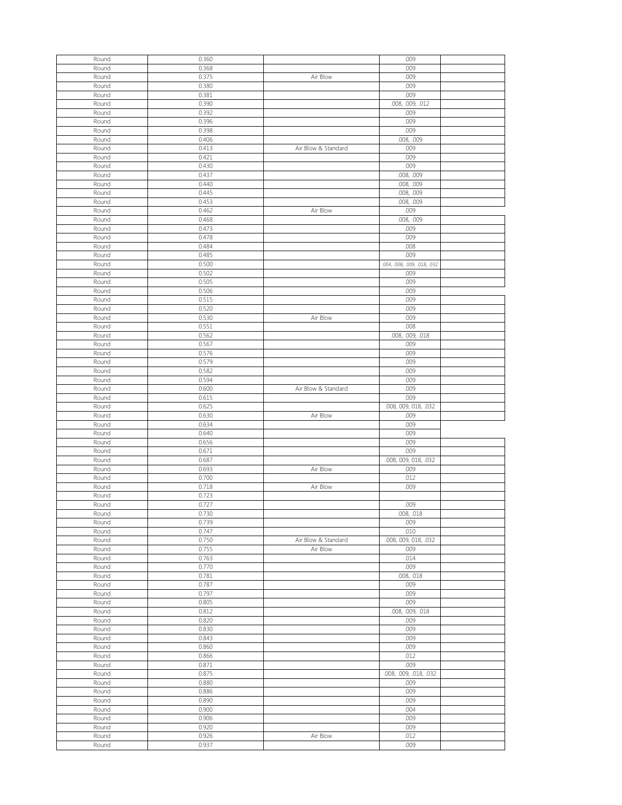| Round          | 0.360          |                     | .009                         |  |
|----------------|----------------|---------------------|------------------------------|--|
| Round          | 0.368          |                     | .009                         |  |
| Round          | 0.375          | Air Blow            | .009                         |  |
| Round          | 0.380          |                     | .009                         |  |
| Round          | 0.381          |                     | .009                         |  |
| Round          | 0.390          |                     | .008, .009, .012             |  |
| Round          | 0.392          |                     | .009                         |  |
| Round          | 0.396          |                     | .009                         |  |
| Round          | 0.398          |                     | .009                         |  |
| Round          | 0.406          |                     | .008, .009                   |  |
| Round          | 0.413          | Air Blow & Standard | .009                         |  |
| Round          | 0.421          |                     | .009                         |  |
| Round          | 0.430          |                     | .009                         |  |
| Round          | 0.437          |                     | .008, .009                   |  |
| Round          | 0.440          |                     | .008, .009                   |  |
| Round          | 0.445          |                     | .008, .009                   |  |
| Round          | 0.453          |                     | .008, .009                   |  |
| Round          | 0.462          | Air Blow            | .009                         |  |
| Round          | 0.468          |                     | .008, .009                   |  |
| Round          | 0.473          |                     | .009                         |  |
| Round          | 0.478          |                     | .009                         |  |
| Round          | 0.484          |                     | .008                         |  |
| Round          | 0.485          |                     | .009                         |  |
| Round          | 0.500          |                     | .004, .008, .009, .018, .032 |  |
| Round          | 0.502          |                     | .009                         |  |
| Round          | 0.505          |                     | .009                         |  |
| Round          | 0.506          |                     | .009                         |  |
| Round          | 0.515          |                     | .009                         |  |
| Round          | 0.520          |                     | .009                         |  |
| Round          | 0.530          | Air Blow            | .009                         |  |
| Round          | 0.551          |                     | .008                         |  |
| Round          | 0.562          |                     | .008, .009, .018             |  |
| Round          | 0.567          |                     | .009                         |  |
| Round          | 0.576          |                     | .009                         |  |
| Round          | 0.579          |                     | .009                         |  |
| Round          | 0.582          |                     | .009                         |  |
| Round          | 0.594          |                     | .009                         |  |
| Round          | 0.600          | Air Blow & Standard | .009                         |  |
| Round          | 0.615          |                     | .009                         |  |
|                |                |                     |                              |  |
| Round          | 0.625          |                     | .008, 009, 018, .032         |  |
| Round          | 0.630          | Air Blow            | .009                         |  |
| Round          | 0.634          |                     | .009                         |  |
| Round          | 0.640          |                     | .009                         |  |
| Round          | 0.656          |                     | .009                         |  |
| Round          | 0.671          |                     | .009                         |  |
| Round          | 0.687          |                     | .008, 009, 018, .032         |  |
| Round          | 0.693          | Air Blow            | .009                         |  |
| Round          | 0.700          |                     | .012                         |  |
| Round          | 0.718          | Air Blow            | .009                         |  |
| Round          | 0.723          |                     |                              |  |
| Round          | 0.727          |                     | .009                         |  |
| Round          |                |                     |                              |  |
| Round          | 0.730<br>0.739 |                     | .008, .018<br>.009           |  |
| Round          | 0.747          |                     | .010                         |  |
| Round          | 0.750          | Air Blow & Standard | .008, 009, 018, .032         |  |
| Round          | 0.755          | Air Blow            | .009                         |  |
| Round          | 0.763          |                     | .014                         |  |
| Round          | 0.770          |                     | .009                         |  |
| Round          | 0.781          |                     | .008, .018                   |  |
| Round          | 0.787          |                     | .009                         |  |
| Round          | 0.797          |                     | .009                         |  |
| Round          | 0.805          |                     | .009                         |  |
| Round          | 0.812          |                     |                              |  |
| Round          | 0.820          |                     | .008, .009, .018<br>.009     |  |
| Round          | 0.830          |                     | .009                         |  |
| Round          | 0.843          |                     | .009                         |  |
| Round          | 0.860          |                     | .009                         |  |
| Round          | 0.866          |                     | .012                         |  |
| Round          | 0.871          |                     | .009                         |  |
| Round          | 0.875          |                     | .008, .009, .018, .032       |  |
| Round          | 0.880          |                     | .009                         |  |
| Round          | 0.886          |                     | .009                         |  |
| Round          | 0.890          |                     | .009                         |  |
| Round          | 0.900          |                     | .004                         |  |
| Round          | 0.906          |                     | .009                         |  |
| Round          | 0.920          |                     | .009                         |  |
|                |                |                     |                              |  |
| Round<br>Round | 0.926<br>0.937 | Air Blow            | .012<br>.009                 |  |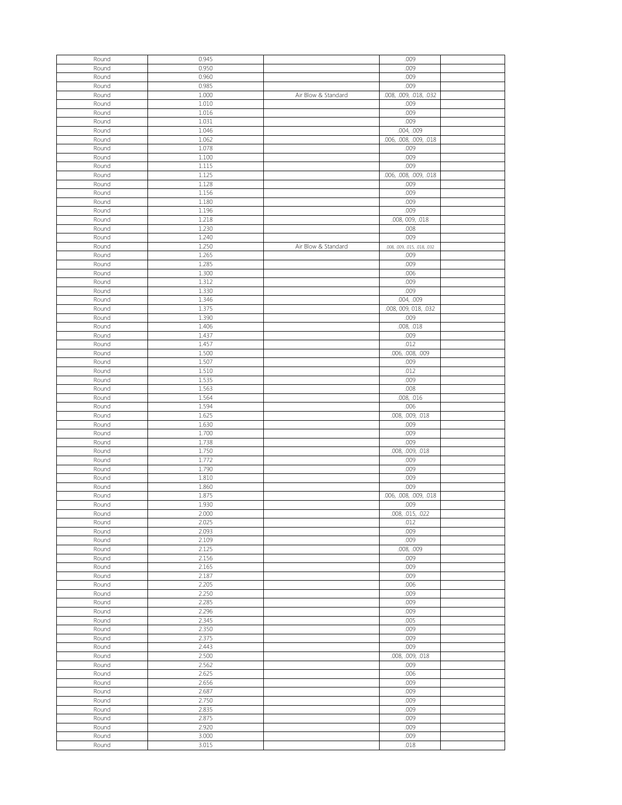| Round          | 0.945          |                     | .009                         |  |
|----------------|----------------|---------------------|------------------------------|--|
|                |                |                     |                              |  |
| Round          | 0.950          |                     | .009                         |  |
| Round          | 0.960          |                     | .009                         |  |
| Round          | 0.985          |                     | .009                         |  |
| Round          | 1.000          | Air Blow & Standard | .008, .009, .018, .032       |  |
| Round          | 1.010          |                     | .009                         |  |
| Round          | 1.016          |                     | .009                         |  |
|                |                |                     |                              |  |
| Round          | 1.031          |                     | .009                         |  |
| Round          | 1.046          |                     | .004, .009                   |  |
| Round          | 1.062          |                     | .006, .008, .009, .018       |  |
| Round          | 1.078          |                     | .009                         |  |
| Round          | 1.100          |                     | .009                         |  |
|                |                |                     |                              |  |
| Round          | 1.115          |                     | .009                         |  |
| Round          | 1.125          |                     | .006, .008, .009, .018       |  |
| Round          | 1.128          |                     | .009                         |  |
| Round          | 1.156          |                     | .009                         |  |
| Round          | 1.180          |                     | .009                         |  |
| Round          | 1.196          |                     | .009                         |  |
| Round          | 1.218          |                     | .008, 009, .018              |  |
| Round          | 1.230          |                     | .008                         |  |
|                |                |                     |                              |  |
| Round          | 1.240          |                     | .009                         |  |
| Round          | 1.250          | Air Blow & Standard | .008, .009, .015, .018, .032 |  |
| Round          | 1.265          |                     | .009                         |  |
| Round          | 1.285          |                     | .009                         |  |
| Round          | 1.300          |                     | .006                         |  |
| Round          | 1.312          |                     | .009                         |  |
| Round          | 1.330          |                     | .009                         |  |
|                |                |                     |                              |  |
| Round          | 1.346          |                     | .004, .009                   |  |
| Round          | 1.375          |                     | .008, 009, 018, .032         |  |
| Round          | 1.390          |                     | .009                         |  |
| Round          | 1.406          |                     | .008, .018                   |  |
| Round          | 1.437          |                     | .009                         |  |
| Round          | 1.457          |                     | .012                         |  |
|                |                |                     |                              |  |
| Round          | 1.500          |                     | .006, .008, .009             |  |
| Round          | 1.507          |                     | .009                         |  |
| Round          | 1.510          |                     | .012                         |  |
| Round          | 1.535          |                     | .009                         |  |
| Round          | 1.563          |                     | .008                         |  |
| Round          | 1.564          |                     | .008, .016                   |  |
|                |                |                     |                              |  |
|                |                |                     |                              |  |
| Round          | 1.594          |                     | .006                         |  |
| Round          | 1.625          |                     | .008, .009, .018             |  |
| Round          | 1.630          |                     | .009                         |  |
| Round          | 1.700          |                     | .009                         |  |
| Round          | 1.738          |                     | .009                         |  |
| Round          | 1.750          |                     | .008, .009, .018             |  |
|                |                |                     |                              |  |
| Round          | 1.772          |                     | .009                         |  |
| Round          | 1.790          |                     | .009                         |  |
| Round          | 1.810          |                     | .009                         |  |
| Round          | 1.860          |                     | .009                         |  |
| Round          | 1.875          |                     | .006, .008, .009, .018       |  |
| Round          | 1.930          |                     | .009                         |  |
| Round          | 2.000          |                     | .008, .015, .022             |  |
| Round          | 2.025          |                     | .012                         |  |
|                |                |                     |                              |  |
| Round          | 2.093          |                     | .009                         |  |
| Round          | 2.109          |                     | .009                         |  |
| Round          | 2.125          |                     | .008, .009                   |  |
| Round          | 2.156          |                     | .009                         |  |
| Round          | 2.165          |                     | .009                         |  |
| Round          | 2.187          |                     | .009                         |  |
| Round          | 2.205          |                     | .006                         |  |
| Round          | 2.250          |                     | .009                         |  |
|                |                |                     |                              |  |
| Round          | 2.285          |                     | .009                         |  |
| Round          | 2.296          |                     | .009                         |  |
| Round          | 2.345          |                     | .005                         |  |
| Round          | 2.350          |                     | .009                         |  |
| Round          | 2.375          |                     | .009                         |  |
| Round          | 2.443          |                     | .009                         |  |
| Round          | 2.500          |                     | .008, .009, .018             |  |
| Round          | 2.562          |                     | .009                         |  |
|                |                |                     |                              |  |
| Round          | 2.625          |                     | .006                         |  |
| Round          | 2.656          |                     | .009                         |  |
| Round          | 2.687          |                     | .009                         |  |
| Round          | 2.750          |                     | .009                         |  |
| Round          | 2.835          |                     | .009                         |  |
| Round          | 2.875          |                     | .009                         |  |
| Round          | 2.920          |                     | .009                         |  |
|                |                |                     |                              |  |
| Round<br>Round | 3.000<br>3.015 |                     | .009<br>.018                 |  |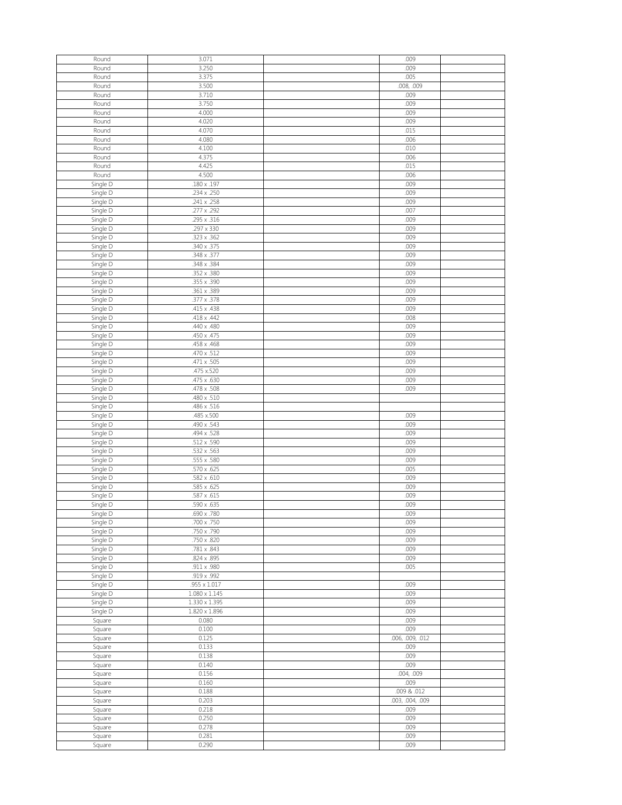| Round                 |                      |                  |  |
|-----------------------|----------------------|------------------|--|
|                       | 3.071                | .009             |  |
| Round                 | 3.250                | .009             |  |
| Round                 | 3.375                | .005             |  |
|                       |                      |                  |  |
| Round                 | 3.500                | .008, .009       |  |
| Round                 | 3.710                | .009             |  |
| Round                 | 3.750                | .009             |  |
|                       |                      |                  |  |
| Round                 | 4.000                | .009             |  |
| Round                 | 4.020                | .009             |  |
|                       |                      |                  |  |
| Round                 | 4.070                | .015             |  |
| Round                 | 4.080                | .006             |  |
|                       |                      |                  |  |
| Round                 | 4.100                | .010             |  |
| Round                 | 4.375                | .006             |  |
|                       | 4.425                | .015             |  |
| Round                 |                      |                  |  |
| Round                 | 4.500                | .006             |  |
| Single D              | $.180 \times .197$   | .009             |  |
|                       |                      |                  |  |
| Single D              | .234 x .250          | .009             |  |
| Single D              | .241 x .258          | .009             |  |
|                       |                      |                  |  |
| Single D              | .277 x .292          | .007             |  |
| Single D              | .295 x .316          | .009             |  |
|                       |                      |                  |  |
| Single D              | .297 x 330           | .009             |  |
| Single D              | .323 x .362          | .009             |  |
|                       | .340 x .375          | .009             |  |
| Single D              |                      |                  |  |
| Single D              | .348 x .377          | .009             |  |
| Single D              | .348 x .384          | .009             |  |
|                       |                      |                  |  |
| Single D              | .352 x .380          | .009             |  |
| Single D              | .355 x .390          | .009             |  |
|                       |                      |                  |  |
| Single D              | .361 x .389          | .009             |  |
| Single D              | .377 x .378          | .009             |  |
|                       |                      |                  |  |
| Single D              | .415 x .438          | .009             |  |
| Single D              | .418 x .442          | .008             |  |
|                       | .440 x .480          | .009             |  |
| Single D              |                      |                  |  |
| Single D              | .450 x .475          | .009             |  |
| Single D              | .458 x .468          | .009             |  |
|                       |                      |                  |  |
| Single D              | $.470 \times .512$   | .009             |  |
| Single D              | .471 x .505          | .009             |  |
|                       |                      |                  |  |
| Single D              | .475 x.520           | .009             |  |
| Single D              | .475 x .630          | .009             |  |
|                       |                      |                  |  |
| Single D              | .478 x .508          | .009             |  |
| Single D              | .480 x .510          |                  |  |
| Single D              | .486 x .516          |                  |  |
|                       |                      |                  |  |
| Single D              | .485 x.500           | .009             |  |
| Single $\overline{D}$ | .490 x .543          | .009             |  |
|                       |                      |                  |  |
| Single D              | .494 x .528          | .009             |  |
|                       |                      | .009             |  |
|                       |                      |                  |  |
| Single D              | .512 x .590          |                  |  |
| Single D              | .532 x .563          | .009             |  |
| Single D              | .555 x .580          | .009             |  |
|                       |                      |                  |  |
| Single D              | .570 x .625          | .005             |  |
| Single D              | $.582 \times .610$   | .009             |  |
|                       |                      |                  |  |
| Single D              | .585 x .625          | .009             |  |
| Single D              | .587 x .615          | .009             |  |
| Single D              | .590 x .635          | .009             |  |
|                       |                      |                  |  |
| Single D              | .690 x .780          | .009             |  |
| Single D              | .700 x .750          | .009             |  |
|                       |                      | .009             |  |
| Single D              | .750 x .790          |                  |  |
| Single D              | .750 x .820          | .009             |  |
| Single D              | .781 x .843          | .009             |  |
|                       |                      |                  |  |
| Single D              | .824 x .895          | .009             |  |
| Single D              | .911 x .980          | .005             |  |
|                       | .919 x .992          |                  |  |
| Single D              |                      |                  |  |
| Single D              | $.955 \times 1.017$  | .009             |  |
| Single D              | $1.080 \times 1.145$ | .009             |  |
|                       |                      |                  |  |
| Single D              | $1.330 \times 1.395$ | .009             |  |
| Single D              | $1.820 \times 1.896$ | .009             |  |
|                       | 0.080                | .009             |  |
| Square                |                      |                  |  |
| Square                | 0.100                | .009             |  |
| Square                | 0.125                | .006, .009, .012 |  |
|                       |                      |                  |  |
| Square                | 0.133                | .009             |  |
| Square                | 0.138                | .009             |  |
|                       |                      |                  |  |
| Square                | 0.140                | .009             |  |
| Square                | 0.156                | .004, .009       |  |
| Square                | 0.160                | .009             |  |
|                       |                      |                  |  |
| Square                | 0.188                | .009 & .012      |  |
| Square                | 0.203                | .003, .004, .009 |  |
|                       |                      |                  |  |
| Square                | 0.218                | .009             |  |
| Square                | 0.250                | .009             |  |
|                       | 0.278                | .009             |  |
| Square                |                      |                  |  |
| Square<br>Square      | 0.281<br>0.290       | .009<br>.009     |  |